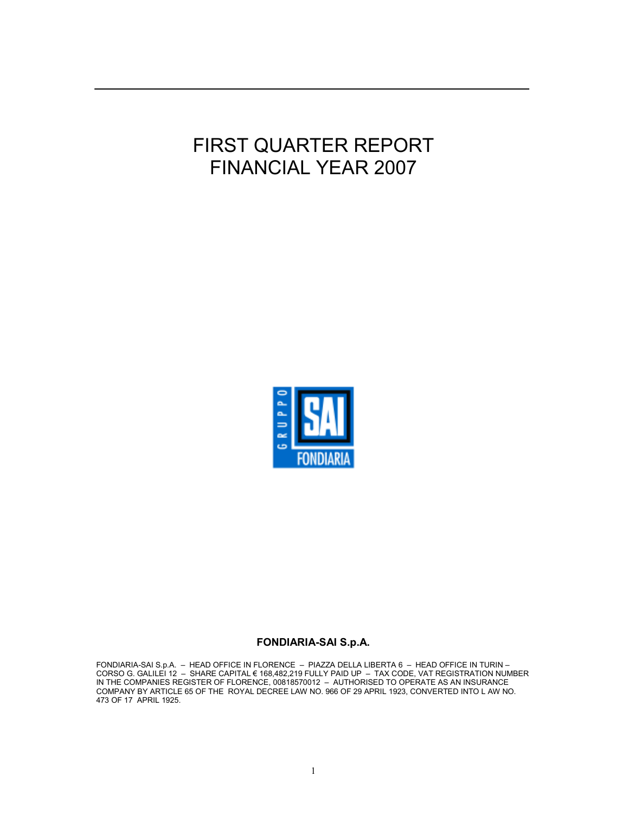# FIRST QUARTER REPORT FINANCIAL YEAR 2007



### FONDIARIA-SAI S.p.A.

FONDIARIA-SAI S.p.A. – HEAD OFFICE IN FLORENCE – PIAZZA DELLA LIBERTA 6 – HEAD OFFICE IN TURIN – CORSO G. GALILEI 12 – SHARE CAPITAL € 168,482,219 FULLY PAID UP – TAX CODE, VAT REGISTRATION NUMBER IN THE COMPANIES REGISTER OF FLORENCE, 00818570012 – AUTHORISED TO OPERATE AS AN INSURANCE COMPANY BY ARTICLE 65 OF THE ROYAL DECREE LAW NO. 966 OF 29 APRIL 1923, CONVERTED INTO L AW NO. 473 OF 17 APRIL 1925.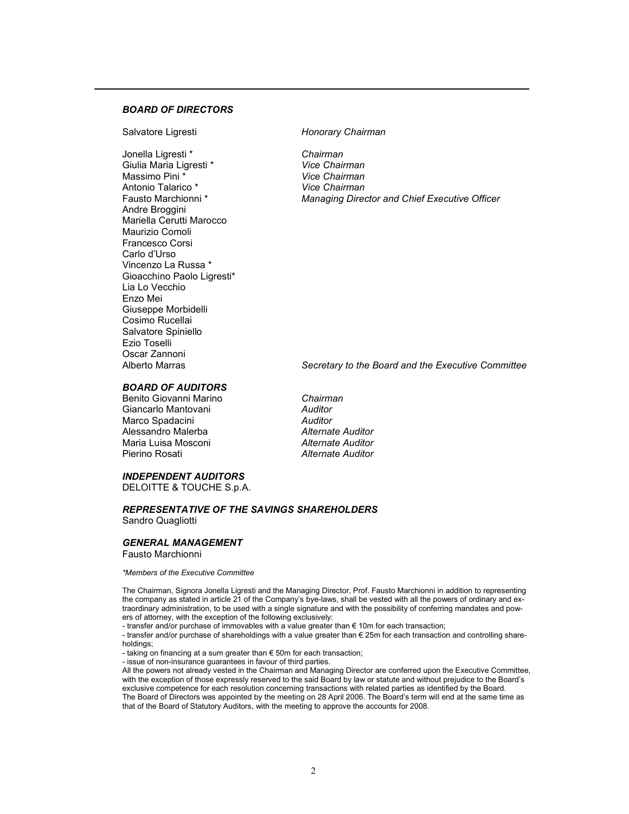#### BOARD OF DIRECTORS

Salvatore Ligresti **Exercise Salvatore Ligresti** Honorary Chairman

Jonella Ligresti \* Chairman Giulia Maria Ligresti \* The Chairman Vice Chairman<br>
Massimo Pini \* The Vice Chairman Antonio Talarico \* **Antonio Talarico \*** *Nice Chairman*<br>
Fausto Marchionni \* *Managing Direct* Andre Broggini Mariella Cerutti Marocco Maurizio Comoli Francesco Corsi Carlo d'Urso Vincenzo La Russa \* Gioacchino Paolo Ligresti\* Lia Lo Vecchio Enzo Mei Giuseppe Morbidelli Cosimo Rucellai Salvatore Spiniello Ezio Toselli Oscar Zannoni

Vice Chairman Managing Director and Chief Executive Officer

Secretary to the Board and the Executive Committee

#### BOARD OF AUDITORS

Benito Giovanni Marino **Chairman** Giancarlo Mantovani **Auditor** Auditor Marco Spadacini **Auditor** Auditor Alessandro Malerba **Alternate Auditor**<br>Maria Luisa Mosconi Alternate Auditor Maria Luisa Mosconi<br>Pierino Rosati

**Alternate Auditor** 

#### INDEPENDENT AUDITORS

DELOITTE & TOUCHE S.p.A.

#### REPRESENTATIVE OF THE SAVINGS SHAREHOLDERS Sandro Quagliotti

GENERAL MANAGEMENT

Fausto Marchionni

\*Members of the Executive Committee

The Chairman, Signora Jonella Ligresti and the Managing Director, Prof. Fausto Marchionni in addition to representing the company as stated in article 21 of the Company's bye-laws, shall be vested with all the powers of ordinary and extraordinary administration, to be used with a single signature and with the possibility of conferring mandates and powers of attorney, with the exception of the following exclusively:

- transfer and/or purchase of immovables with a value greater than € 10m for each transaction;

- transfer and/or purchase of shareholdings with a value greater than € 25m for each transaction and controlling shareholdings;

- taking on financing at a sum greater than  $\epsilon$  50m for each transaction;

- issue of non-insurance guarantees in favour of third parties.

All the powers not already vested in the Chairman and Managing Director are conferred upon the Executive Committee, with the exception of those expressly reserved to the said Board by law or statute and without prejudice to the Board's exclusive competence for each resolution concerning transactions with related parties as identified by the Board. The Board of Directors was appointed by the meeting on 28 April 2006. The Board's term will end at the same time as that of the Board of Statutory Auditors, with the meeting to approve the accounts for 2008.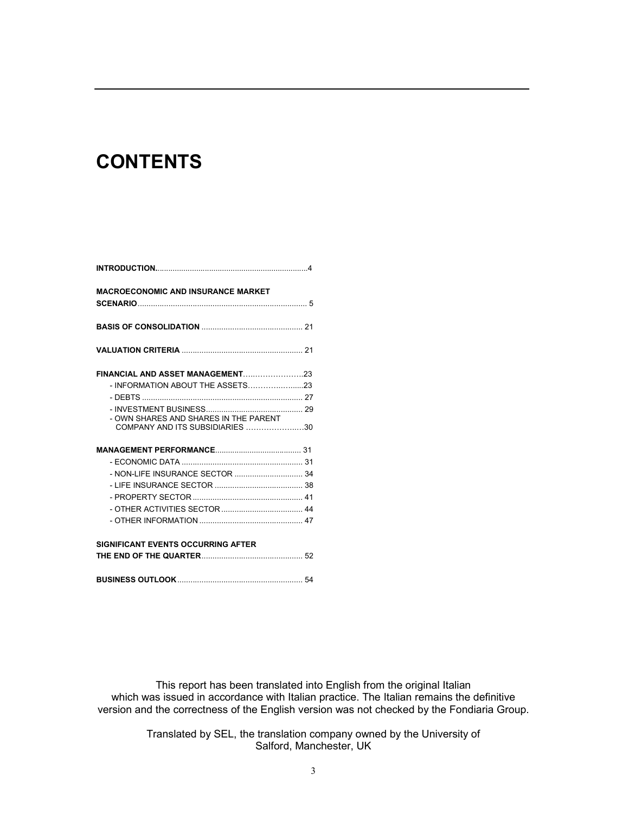# **CONTENTS**

| <b>MACROECONOMIC AND INSURANCE MARKET</b> |  |
|-------------------------------------------|--|
|                                           |  |
|                                           |  |
|                                           |  |
|                                           |  |
|                                           |  |
| - OWN SHARES AND SHARES IN THE PARENT     |  |
| COMPANY AND ITS SUBSIDIARIES 30           |  |
|                                           |  |
|                                           |  |
|                                           |  |
|                                           |  |
|                                           |  |
|                                           |  |
|                                           |  |
| <b>SIGNIFICANT EVENTS OCCURRING AFTER</b> |  |
|                                           |  |
|                                           |  |

This report has been translated into English from the original Italian which was issued in accordance with Italian practice. The Italian remains the definitive version and the correctness of the English version was not checked by the Fondiaria Group.

> Translated by SEL, the translation company owned by the University of Salford, Manchester, UK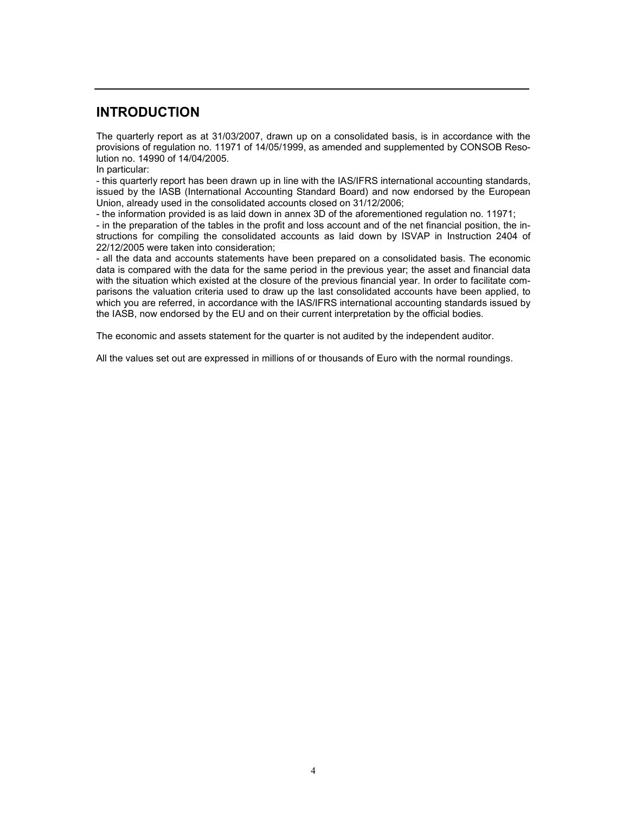# INTRODUCTION

The quarterly report as at 31/03/2007, drawn up on a consolidated basis, is in accordance with the provisions of regulation no. 11971 of 14/05/1999, as amended and supplemented by CONSOB Resolution no. 14990 of 14/04/2005.

In particular:

- this quarterly report has been drawn up in line with the IAS/IFRS international accounting standards, issued by the IASB (International Accounting Standard Board) and now endorsed by the European Union, already used in the consolidated accounts closed on 31/12/2006;

- the information provided is as laid down in annex 3D of the aforementioned regulation no. 11971;

- in the preparation of the tables in the profit and loss account and of the net financial position, the instructions for compiling the consolidated accounts as laid down by ISVAP in Instruction 2404 of 22/12/2005 were taken into consideration;

- all the data and accounts statements have been prepared on a consolidated basis. The economic data is compared with the data for the same period in the previous year; the asset and financial data with the situation which existed at the closure of the previous financial year. In order to facilitate comparisons the valuation criteria used to draw up the last consolidated accounts have been applied, to which you are referred, in accordance with the IAS/IFRS international accounting standards issued by the IASB, now endorsed by the EU and on their current interpretation by the official bodies.

The economic and assets statement for the quarter is not audited by the independent auditor.

All the values set out are expressed in millions of or thousands of Euro with the normal roundings.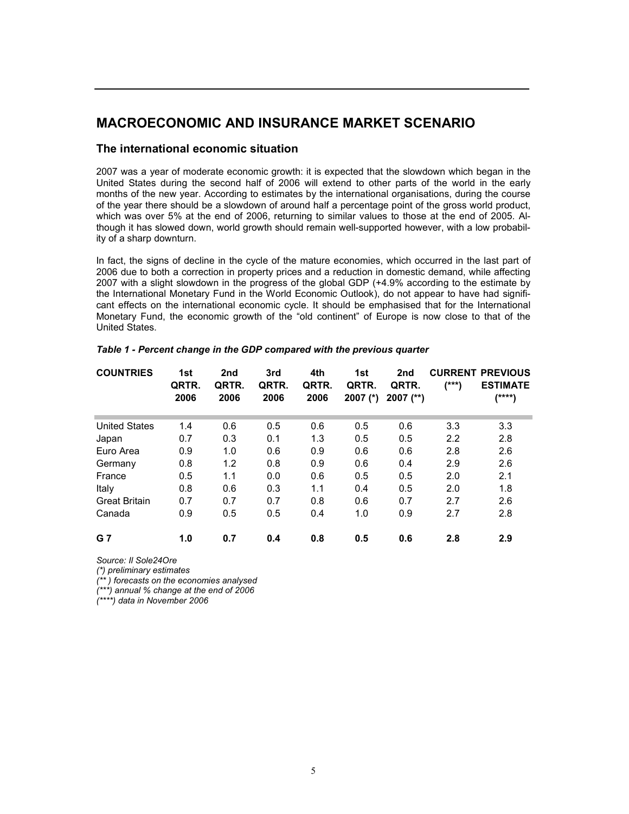# MACROECONOMIC AND INSURANCE MARKET SCENARIO

### The international economic situation

2007 was a year of moderate economic growth: it is expected that the slowdown which began in the United States during the second half of 2006 will extend to other parts of the world in the early months of the new year. According to estimates by the international organisations, during the course of the year there should be a slowdown of around half a percentage point of the gross world product, which was over 5% at the end of 2006, returning to similar values to those at the end of 2005. Although it has slowed down, world growth should remain well-supported however, with a low probability of a sharp downturn.

In fact, the signs of decline in the cycle of the mature economies, which occurred in the last part of 2006 due to both a correction in property prices and a reduction in domestic demand, while affecting 2007 with a slight slowdown in the progress of the global GDP (+4.9% according to the estimate by the International Monetary Fund in the World Economic Outlook), do not appear to have had significant effects on the international economic cycle. It should be emphasised that for the International Monetary Fund, the economic growth of the "old continent" of Europe is now close to that of the United States.

| <b>COUNTRIES</b>     | 1st<br>QRTR.<br>2006 | 2nd<br>QRTR.<br>2006 | 3rd<br>QRTR.<br>2006 | 4th<br>QRTR.<br>2006 | 1st<br>QRTR.<br>$2007$ (*) | 2nd<br>QRTR.<br>$2007$ (**) | (***) | <b>CURRENT PREVIOUS</b><br><b>ESTIMATE</b><br>$(****)$ |
|----------------------|----------------------|----------------------|----------------------|----------------------|----------------------------|-----------------------------|-------|--------------------------------------------------------|
|                      |                      |                      |                      |                      |                            |                             |       |                                                        |
| <b>United States</b> | 1.4                  | 0.6                  | 0.5                  | 0.6                  | 0.5                        | 0.6                         | 3.3   | 3.3                                                    |
| Japan                | 0.7                  | 0.3                  | 0.1                  | 1.3                  | 0.5                        | 0.5                         | 2.2   | 2.8                                                    |
| Euro Area            | 0.9                  | 1.0                  | 0.6                  | 0.9                  | 0.6                        | 0.6                         | 2.8   | 2.6                                                    |
| Germany              | 0.8                  | 1.2                  | 0.8                  | 0.9                  | 0.6                        | 0.4                         | 2.9   | 2.6                                                    |
| France               | 0.5                  | 1.1                  | 0.0                  | 0.6                  | 0.5                        | 0.5                         | 2.0   | 2.1                                                    |
| Italy                | 0.8                  | 0.6                  | 0.3                  | 1.1                  | 0.4                        | 0.5                         | 2.0   | 1.8                                                    |
| <b>Great Britain</b> | 0.7                  | 0.7                  | 0.7                  | 0.8                  | 0.6                        | 0.7                         | 2.7   | 2.6                                                    |
| Canada               | 0.9                  | 0.5                  | 0.5                  | 0.4                  | 1.0                        | 0.9                         | 2.7   | 2.8                                                    |
| <b>G</b> 7           | 1.0                  | 0.7                  | 0.4                  | 0.8                  | 0.5                        | 0.6                         | 2.8   | 2.9                                                    |

Table 1 - Percent change in the GDP compared with the previous quarter

Source: Il Sole24Ore

(\*) preliminary estimates

(\*\* ) forecasts on the economies analysed

(\*\*\*) annual % change at the end of 2006

(\*\*\*\*) data in November 2006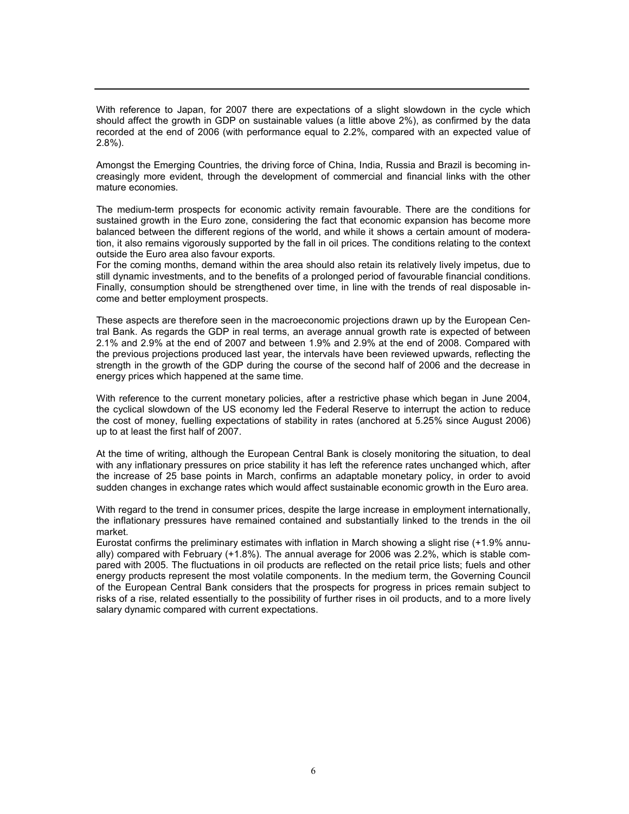With reference to Japan, for 2007 there are expectations of a slight slowdown in the cycle which should affect the growth in GDP on sustainable values (a little above 2%), as confirmed by the data recorded at the end of 2006 (with performance equal to 2.2%, compared with an expected value of 2.8%).

Amongst the Emerging Countries, the driving force of China, India, Russia and Brazil is becoming increasingly more evident, through the development of commercial and financial links with the other mature economies.

The medium-term prospects for economic activity remain favourable. There are the conditions for sustained growth in the Euro zone, considering the fact that economic expansion has become more balanced between the different regions of the world, and while it shows a certain amount of moderation, it also remains vigorously supported by the fall in oil prices. The conditions relating to the context outside the Euro area also favour exports.

For the coming months, demand within the area should also retain its relatively lively impetus, due to still dynamic investments, and to the benefits of a prolonged period of favourable financial conditions. Finally, consumption should be strengthened over time, in line with the trends of real disposable income and better employment prospects.

These aspects are therefore seen in the macroeconomic projections drawn up by the European Central Bank. As regards the GDP in real terms, an average annual growth rate is expected of between 2.1% and 2.9% at the end of 2007 and between 1.9% and 2.9% at the end of 2008. Compared with the previous projections produced last year, the intervals have been reviewed upwards, reflecting the strength in the growth of the GDP during the course of the second half of 2006 and the decrease in energy prices which happened at the same time.

With reference to the current monetary policies, after a restrictive phase which began in June 2004, the cyclical slowdown of the US economy led the Federal Reserve to interrupt the action to reduce the cost of money, fuelling expectations of stability in rates (anchored at 5.25% since August 2006) up to at least the first half of 2007.

At the time of writing, although the European Central Bank is closely monitoring the situation, to deal with any inflationary pressures on price stability it has left the reference rates unchanged which, after the increase of 25 base points in March, confirms an adaptable monetary policy, in order to avoid sudden changes in exchange rates which would affect sustainable economic growth in the Euro area.

With regard to the trend in consumer prices, despite the large increase in employment internationally, the inflationary pressures have remained contained and substantially linked to the trends in the oil market.

Eurostat confirms the preliminary estimates with inflation in March showing a slight rise (+1.9% annually) compared with February (+1.8%). The annual average for 2006 was 2.2%, which is stable compared with 2005. The fluctuations in oil products are reflected on the retail price lists; fuels and other energy products represent the most volatile components. In the medium term, the Governing Council of the European Central Bank considers that the prospects for progress in prices remain subject to risks of a rise, related essentially to the possibility of further rises in oil products, and to a more lively salary dynamic compared with current expectations.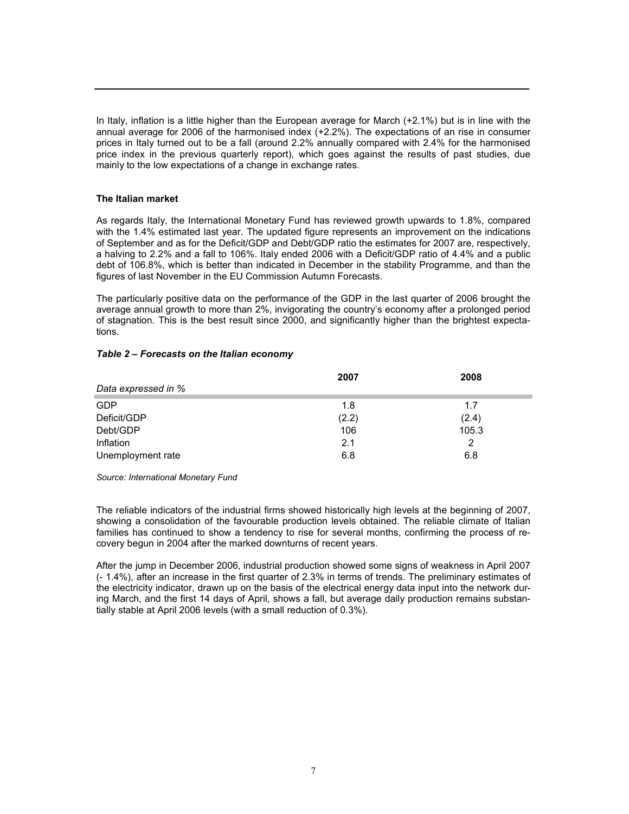In Italy, inflation is a little higher than the European average for March (+2.1%) but is in line with the annual average for 2006 of the harmonised index (+2.2%). The expectations of an rise in consumer prices in Italy turned out to be a fall (around 2.2% annually compared with 2.4% for the harmonised price index in the previous quarterly report), which goes against the results of past studies, due mainly to the low expectations of a change in exchange rates.

#### The Italian market

As regards Italy, the International Monetary Fund has reviewed growth upwards to 1.8%, compared with the 1.4% estimated last year. The updated figure represents an improvement on the indications of September and as for the Deficit/GDP and Debt/GDP ratio the estimates for 2007 are, respectively, a halving to 2.2% and a fall to 106%. Italy ended 2006 with a Deficit/GDP ratio of 4.4% and a public debt of 106.8%, which is better than indicated in December in the stability Programme, and than the figures of last November in the EU Commission Autumn Forecasts.

The particularly positive data on the performance of the GDP in the last quarter of 2006 brought the average annual growth to more than 2%, invigorating the country's economy after a prolonged period of stagnation. This is the best result since 2000, and significantly higher than the brightest expectations.

#### Table 2 – Forecasts on the Italian economy

|                     | 2007  | 2008  |
|---------------------|-------|-------|
| Data expressed in % |       |       |
| GDP                 | 1.8   | 1.7   |
| Deficit/GDP         | (2.2) | (2.4) |
| Debt/GDP            | 106   | 105.3 |
| Inflation           | 2.1   | 2     |
| Unemployment rate   | 6.8   | 6.8   |

Source: International Monetary Fund

The reliable indicators of the industrial firms showed historically high levels at the beginning of 2007, showing a consolidation of the favourable production levels obtained. The reliable climate of Italian families has continued to show a tendency to rise for several months, confirming the process of recovery begun in 2004 after the marked downturns of recent years.

After the jump in December 2006, industrial production showed some signs of weakness in April 2007 (- 1.4%), after an increase in the first quarter of 2.3% in terms of trends. The preliminary estimates of the electricity indicator, drawn up on the basis of the electrical energy data input into the network during March, and the first 14 days of April, shows a fall, but average daily production remains substantially stable at April 2006 levels (with a small reduction of 0.3%).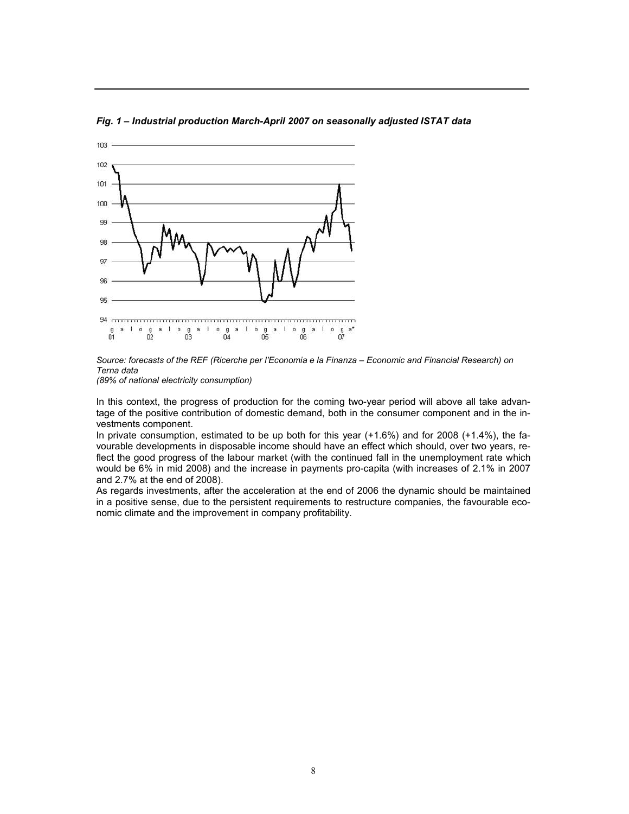

Fig. 1 – Industrial production March-April 2007 on seasonally adjusted ISTAT data



(89% of national electricity consumption)

In this context, the progress of production for the coming two-year period will above all take advantage of the positive contribution of domestic demand, both in the consumer component and in the investments component.

In private consumption, estimated to be up both for this year (+1.6%) and for 2008 (+1.4%), the favourable developments in disposable income should have an effect which should, over two years, reflect the good progress of the labour market (with the continued fall in the unemployment rate which would be 6% in mid 2008) and the increase in payments pro-capita (with increases of 2.1% in 2007 and 2.7% at the end of 2008).

As regards investments, after the acceleration at the end of 2006 the dynamic should be maintained in a positive sense, due to the persistent requirements to restructure companies, the favourable economic climate and the improvement in company profitability.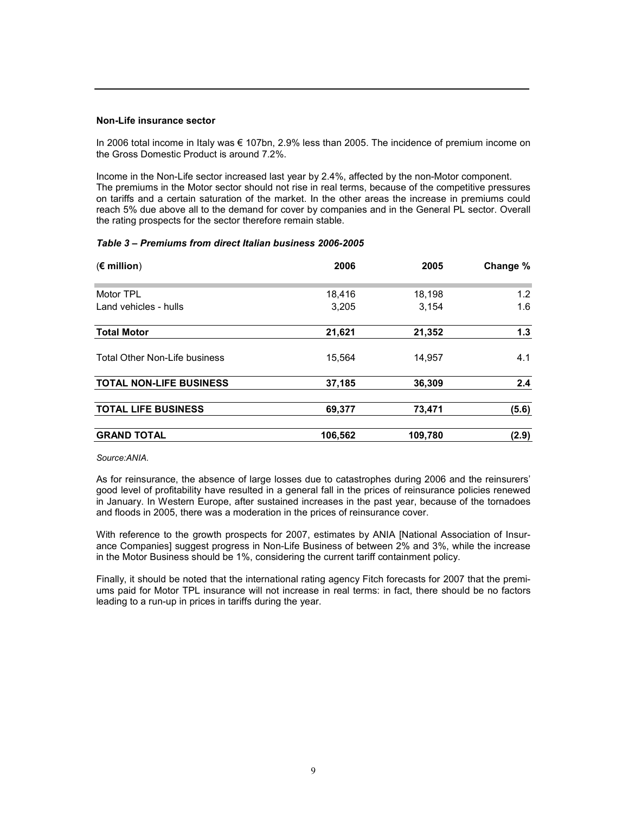#### Non-Life insurance sector

In 2006 total income in Italy was € 107bn, 2.9% less than 2005. The incidence of premium income on the Gross Domestic Product is around 7.2%.

Income in the Non-Life sector increased last year by 2.4%, affected by the non-Motor component. The premiums in the Motor sector should not rise in real terms, because of the competitive pressures on tariffs and a certain saturation of the market. In the other areas the increase in premiums could reach 5% due above all to the demand for cover by companies and in the General PL sector. Overall the rating prospects for the sector therefore remain stable.

#### Table 3 – Premiums from direct Italian business 2006-2005

| $(\epsilon$ million)           | 2006    | 2005    | Change % |
|--------------------------------|---------|---------|----------|
| Motor TPL                      | 18,416  | 18,198  | 1.2      |
| Land vehicles - hulls          | 3,205   | 3,154   | 1.6      |
| <b>Total Motor</b>             | 21,621  | 21,352  | 1.3      |
| Total Other Non-Life business  | 15,564  | 14,957  | 4.1      |
| <b>TOTAL NON-LIFE BUSINESS</b> | 37,185  | 36,309  | 2.4      |
| <b>TOTAL LIFE BUSINESS</b>     | 69,377  | 73,471  | (5.6)    |
| <b>GRAND TOTAL</b>             | 106,562 | 109,780 | (2.9)    |

Source:ANIA.

As for reinsurance, the absence of large losses due to catastrophes during 2006 and the reinsurers' good level of profitability have resulted in a general fall in the prices of reinsurance policies renewed in January. In Western Europe, after sustained increases in the past year, because of the tornadoes and floods in 2005, there was a moderation in the prices of reinsurance cover.

With reference to the growth prospects for 2007, estimates by ANIA [National Association of Insurance Companies] suggest progress in Non-Life Business of between 2% and 3%, while the increase in the Motor Business should be 1%, considering the current tariff containment policy.

Finally, it should be noted that the international rating agency Fitch forecasts for 2007 that the premiums paid for Motor TPL insurance will not increase in real terms: in fact, there should be no factors leading to a run-up in prices in tariffs during the year.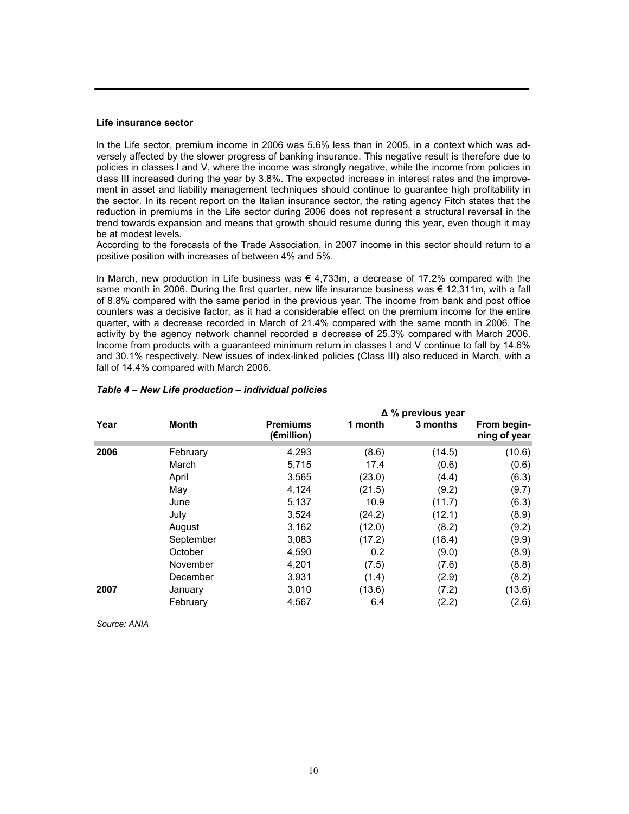#### Life insurance sector

In the Life sector, premium income in 2006 was 5.6% less than in 2005, in a context which was adversely affected by the slower progress of banking insurance. This negative result is therefore due to policies in classes I and V, where the income was strongly negative, while the income from policies in class III increased during the year by 3.8%. The expected increase in interest rates and the improvement in asset and liability management techniques should continue to guarantee high profitability in the sector. In its recent report on the Italian insurance sector, the rating agency Fitch states that the reduction in premiums in the Life sector during 2006 does not represent a structural reversal in the trend towards expansion and means that growth should resume during this year, even though it may be at modest levels.

According to the forecasts of the Trade Association, in 2007 income in this sector should return to a positive position with increases of between 4% and 5%.

In March, new production in Life business was  $\epsilon$  4,733m, a decrease of 17.2% compared with the same month in 2006. During the first quarter, new life insurance business was  $\epsilon$  12,311m, with a fall of 8.8% compared with the same period in the previous year. The income from bank and post office counters was a decisive factor, as it had a considerable effect on the premium income for the entire quarter, with a decrease recorded in March of 21.4% compared with the same month in 2006. The activity by the agency network channel recorded a decrease of 25.3% compared with March 2006. Income from products with a guaranteed minimum return in classes I and V continue to fall by 14.6% and 30.1% respectively. New issues of index-linked policies (Class III) also reduced in March, with a fall of 14.4% compared with March 2006.

|      |              |                               | $\Delta$ % previous year |          |                             |  |  |
|------|--------------|-------------------------------|--------------------------|----------|-----------------------------|--|--|
| Year | <b>Month</b> | <b>Premiums</b><br>(€million) | 1 month                  | 3 months | From begin-<br>ning of year |  |  |
| 2006 | February     | 4,293                         | (8.6)                    | (14.5)   | (10.6)                      |  |  |
|      | March        | 5,715                         | 17.4                     | (0.6)    | (0.6)                       |  |  |
|      | April        | 3,565                         | (23.0)                   | (4.4)    | (6.3)                       |  |  |
|      | May          | 4,124                         | (21.5)                   | (9.2)    | (9.7)                       |  |  |
|      | June         | 5,137                         | 10.9                     | (11.7)   | (6.3)                       |  |  |
|      | July         | 3,524                         | (24.2)                   | (12.1)   | (8.9)                       |  |  |
|      | August       | 3,162                         | (12.0)                   | (8.2)    | (9.2)                       |  |  |
|      | September    | 3,083                         | (17.2)                   | (18.4)   | (9.9)                       |  |  |
|      | October      | 4,590                         | 0.2                      | (9.0)    | (8.9)                       |  |  |
|      | November     | 4,201                         | (7.5)                    | (7.6)    | (8.8)                       |  |  |
|      | December     | 3,931                         | (1.4)                    | (2.9)    | (8.2)                       |  |  |
| 2007 | January      | 3,010                         | (13.6)                   | (7.2)    | (13.6)                      |  |  |
|      | February     | 4,567                         | 6.4                      | (2.2)    | (2.6)                       |  |  |

#### Table 4 – New Life production – individual policies

Source: ANIA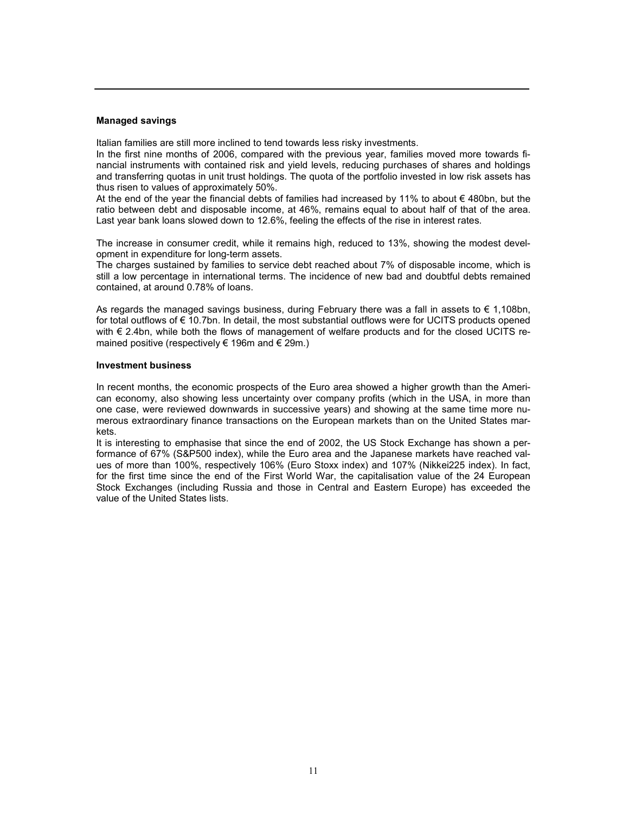#### Managed savings

Italian families are still more inclined to tend towards less risky investments.

In the first nine months of 2006, compared with the previous year, families moved more towards financial instruments with contained risk and yield levels, reducing purchases of shares and holdings and transferring quotas in unit trust holdings. The quota of the portfolio invested in low risk assets has thus risen to values of approximately 50%.

At the end of the year the financial debts of families had increased by 11% to about € 480bn, but the ratio between debt and disposable income, at 46%, remains equal to about half of that of the area. Last year bank loans slowed down to 12.6%, feeling the effects of the rise in interest rates.

The increase in consumer credit, while it remains high, reduced to 13%, showing the modest development in expenditure for long-term assets.

The charges sustained by families to service debt reached about 7% of disposable income, which is still a low percentage in international terms. The incidence of new bad and doubtful debts remained contained, at around 0.78% of loans.

As regards the managed savings business, during February there was a fall in assets to  $\epsilon$  1,108bn, for total outflows of € 10.7bn. In detail, the most substantial outflows were for UCITS products opened with € 2.4bn, while both the flows of management of welfare products and for the closed UCITS remained positive (respectively  $\in$  196m and  $\in$  29m.)

#### Investment business

In recent months, the economic prospects of the Euro area showed a higher growth than the American economy, also showing less uncertainty over company profits (which in the USA, in more than one case, were reviewed downwards in successive years) and showing at the same time more numerous extraordinary finance transactions on the European markets than on the United States markets.

It is interesting to emphasise that since the end of 2002, the US Stock Exchange has shown a performance of 67% (S&P500 index), while the Euro area and the Japanese markets have reached values of more than 100%, respectively 106% (Euro Stoxx index) and 107% (Nikkei225 index). In fact, for the first time since the end of the First World War, the capitalisation value of the 24 European Stock Exchanges (including Russia and those in Central and Eastern Europe) has exceeded the value of the United States lists.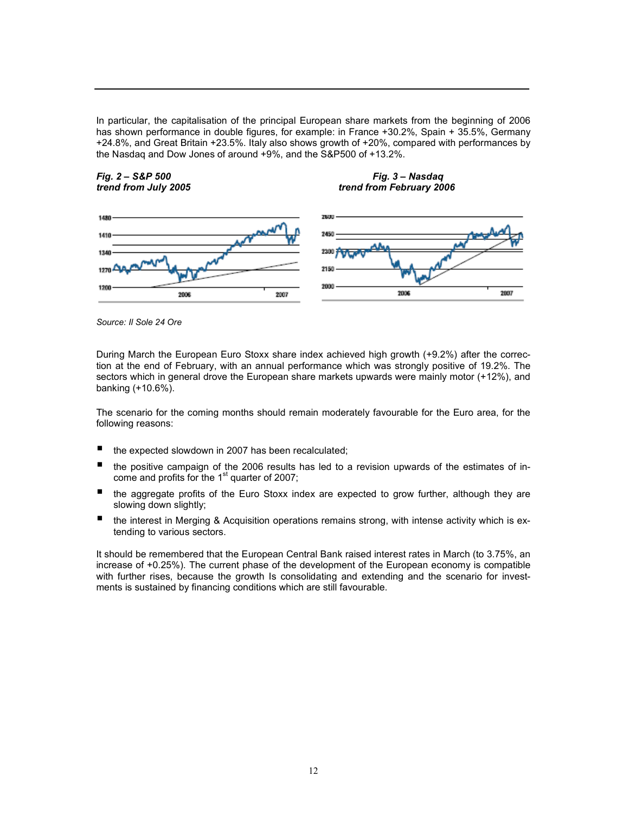In particular, the capitalisation of the principal European share markets from the beginning of 2006 has shown performance in double figures, for example: in France +30.2%, Spain + 35.5%, Germany +24.8%, and Great Britain +23.5%. Italy also shows growth of +20%, compared with performances by the Nasdaq and Dow Jones of around +9%, and the S&P500 of +13.2%.







Source: Il Sole 24 Ore

During March the European Euro Stoxx share index achieved high growth (+9.2%) after the correction at the end of February, with an annual performance which was strongly positive of 19.2%. The sectors which in general drove the European share markets upwards were mainly motor (+12%), and banking (+10.6%).

The scenario for the coming months should remain moderately favourable for the Euro area, for the following reasons:

- $\blacksquare$  the expected slowdown in 2007 has been recalculated;
- the positive campaign of the 2006 results has led to a revision upwards of the estimates of income and profits for the  $1<sup>st</sup>$  quarter of 2007;
- $\blacksquare$  the aggregate profits of the Euro Stoxx index are expected to grow further, although they are slowing down slightly;
- $\blacksquare$  the interest in Merging & Acquisition operations remains strong, with intense activity which is extending to various sectors.

It should be remembered that the European Central Bank raised interest rates in March (to 3.75%, an increase of +0.25%). The current phase of the development of the European economy is compatible with further rises, because the growth Is consolidating and extending and the scenario for investments is sustained by financing conditions which are still favourable.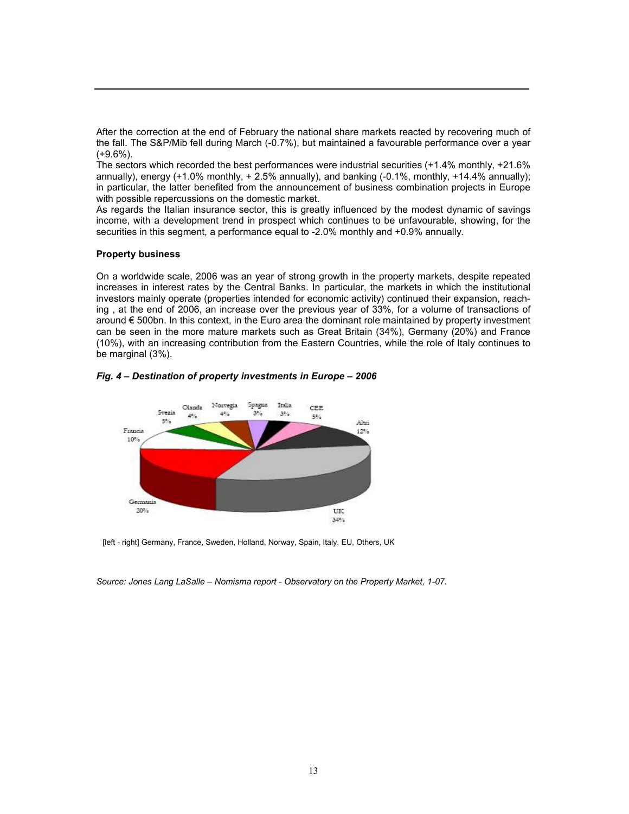After the correction at the end of February the national share markets reacted by recovering much of the fall. The S&P/Mib fell during March (-0.7%), but maintained a favourable performance over a year (+9.6%).

The sectors which recorded the best performances were industrial securities (+1.4% monthly, +21.6% annually), energy  $(+1.0\%$  monthly,  $+2.5\%$  annually), and banking  $(-0.1\%$ , monthly,  $+14.4\%$  annually); in particular, the latter benefited from the announcement of business combination projects in Europe with possible repercussions on the domestic market.

As regards the Italian insurance sector, this is greatly influenced by the modest dynamic of savings income, with a development trend in prospect which continues to be unfavourable, showing, for the securities in this segment, a performance equal to -2.0% monthly and +0.9% annually.

#### Property business

On a worldwide scale, 2006 was an year of strong growth in the property markets, despite repeated increases in interest rates by the Central Banks. In particular, the markets in which the institutional investors mainly operate (properties intended for economic activity) continued their expansion, reaching , at the end of 2006, an increase over the previous year of 33%, for a volume of transactions of around € 500bn. In this context, in the Euro area the dominant role maintained by property investment can be seen in the more mature markets such as Great Britain (34%), Germany (20%) and France (10%), with an increasing contribution from the Eastern Countries, while the role of Italy continues to be marginal (3%).

#### Fig. 4 – Destination of property investments in Europe – 2006



[left - right] Germany, France, Sweden, Holland, Norway, Spain, Italy, EU, Others, UK

Source: Jones Lang LaSalle – Nomisma report - Observatory on the Property Market, 1-07.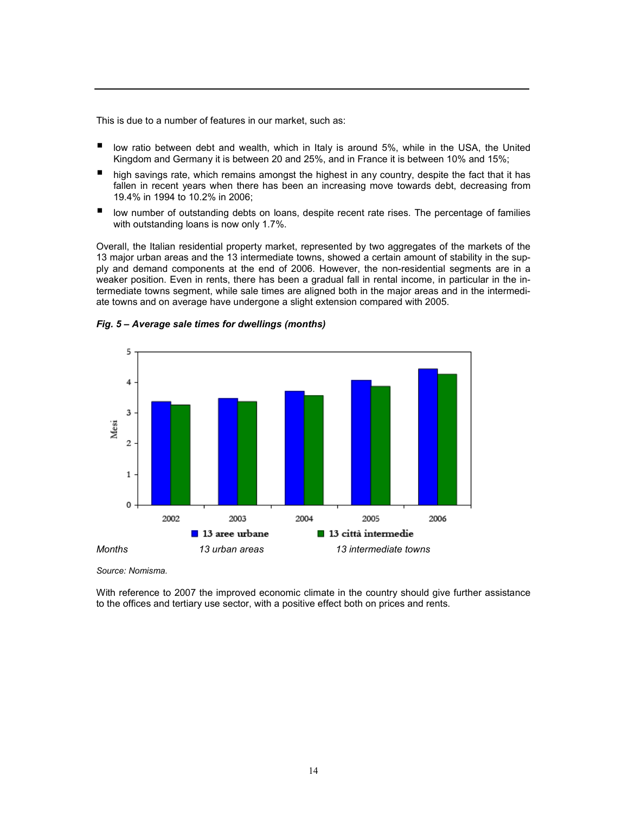This is due to a number of features in our market, such as:

- **u** low ratio between debt and wealth, which in Italy is around 5%, while in the USA, the United Kingdom and Germany it is between 20 and 25%, and in France it is between 10% and 15%;
- **high savings rate, which remains amongst the highest in any country, despite the fact that it has** fallen in recent years when there has been an increasing move towards debt, decreasing from 19.4% in 1994 to 10.2% in 2006;
- **If** low number of outstanding debts on loans, despite recent rate rises. The percentage of families with outstanding loans is now only 1.7%.

Overall, the Italian residential property market, represented by two aggregates of the markets of the 13 major urban areas and the 13 intermediate towns, showed a certain amount of stability in the supply and demand components at the end of 2006. However, the non-residential segments are in a weaker position. Even in rents, there has been a gradual fall in rental income, in particular in the intermediate towns segment, while sale times are aligned both in the major areas and in the intermediate towns and on average have undergone a slight extension compared with 2005.



#### Fig. 5 – Average sale times for dwellings (months)

Source: Nomisma.

With reference to 2007 the improved economic climate in the country should give further assistance to the offices and tertiary use sector, with a positive effect both on prices and rents.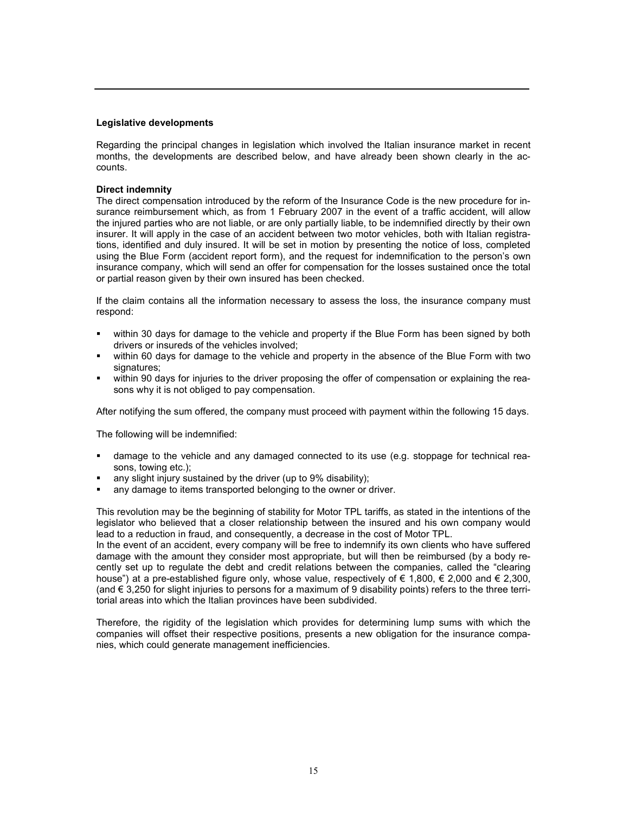#### Legislative developments

Regarding the principal changes in legislation which involved the Italian insurance market in recent months, the developments are described below, and have already been shown clearly in the accounts.

#### Direct indemnity

The direct compensation introduced by the reform of the Insurance Code is the new procedure for insurance reimbursement which, as from 1 February 2007 in the event of a traffic accident, will allow the injured parties who are not liable, or are only partially liable, to be indemnified directly by their own insurer. It will apply in the case of an accident between two motor vehicles, both with Italian registrations, identified and duly insured. It will be set in motion by presenting the notice of loss, completed using the Blue Form (accident report form), and the request for indemnification to the person's own insurance company, which will send an offer for compensation for the losses sustained once the total or partial reason given by their own insured has been checked.

If the claim contains all the information necessary to assess the loss, the insurance company must respond:

- within 30 days for damage to the vehicle and property if the Blue Form has been signed by both drivers or insureds of the vehicles involved;
- within 60 days for damage to the vehicle and property in the absence of the Blue Form with two signatures;
- within 90 days for injuries to the driver proposing the offer of compensation or explaining the reasons why it is not obliged to pay compensation.

After notifying the sum offered, the company must proceed with payment within the following 15 days.

The following will be indemnified:

- damage to the vehicle and any damaged connected to its use (e.g. stoppage for technical reasons, towing etc.);
- any slight injury sustained by the driver (up to 9% disability);
- any damage to items transported belonging to the owner or driver.

This revolution may be the beginning of stability for Motor TPL tariffs, as stated in the intentions of the legislator who believed that a closer relationship between the insured and his own company would lead to a reduction in fraud, and consequently, a decrease in the cost of Motor TPL.

In the event of an accident, every company will be free to indemnify its own clients who have suffered damage with the amount they consider most appropriate, but will then be reimbursed (by a body recently set up to regulate the debt and credit relations between the companies, called the "clearing house") at a pre-established figure only, whose value, respectively of € 1,800, € 2,000 and € 2,300, (and € 3,250 for slight injuries to persons for a maximum of 9 disability points) refers to the three territorial areas into which the Italian provinces have been subdivided.

Therefore, the rigidity of the legislation which provides for determining lump sums with which the companies will offset their respective positions, presents a new obligation for the insurance companies, which could generate management inefficiencies.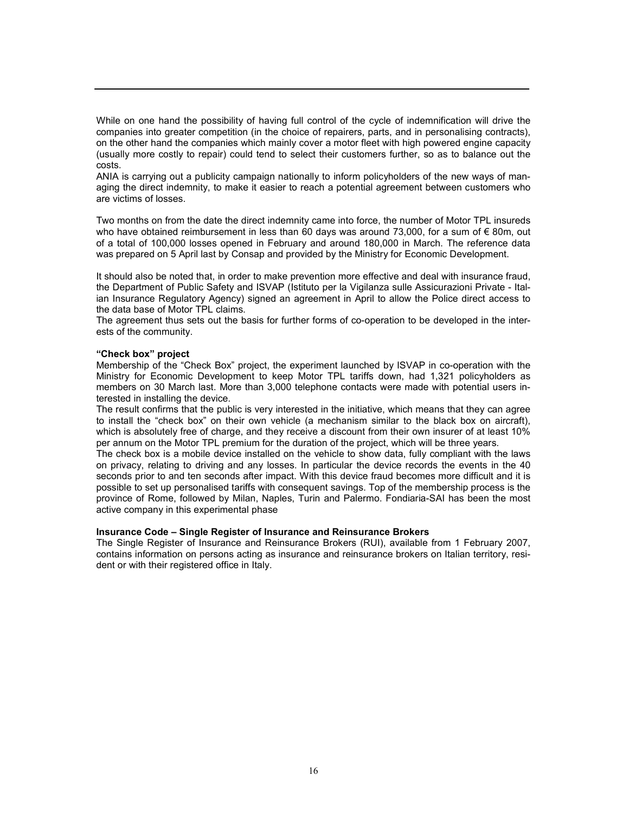While on one hand the possibility of having full control of the cycle of indemnification will drive the companies into greater competition (in the choice of repairers, parts, and in personalising contracts), on the other hand the companies which mainly cover a motor fleet with high powered engine capacity (usually more costly to repair) could tend to select their customers further, so as to balance out the costs.

ANIA is carrying out a publicity campaign nationally to inform policyholders of the new ways of managing the direct indemnity, to make it easier to reach a potential agreement between customers who are victims of losses.

Two months on from the date the direct indemnity came into force, the number of Motor TPL insureds who have obtained reimbursement in less than 60 days was around 73,000, for a sum of € 80m, out of a total of 100,000 losses opened in February and around 180,000 in March. The reference data was prepared on 5 April last by Consap and provided by the Ministry for Economic Development.

It should also be noted that, in order to make prevention more effective and deal with insurance fraud, the Department of Public Safety and ISVAP (Istituto per la Vigilanza sulle Assicurazioni Private - Italian Insurance Regulatory Agency) signed an agreement in April to allow the Police direct access to the data base of Motor TPL claims.

The agreement thus sets out the basis for further forms of co-operation to be developed in the interests of the community.

#### "Check box" project

Membership of the "Check Box" project, the experiment launched by ISVAP in co-operation with the Ministry for Economic Development to keep Motor TPL tariffs down, had 1,321 policyholders as members on 30 March last. More than 3,000 telephone contacts were made with potential users interested in installing the device.

The result confirms that the public is very interested in the initiative, which means that they can agree to install the "check box" on their own vehicle (a mechanism similar to the black box on aircraft), which is absolutely free of charge, and they receive a discount from their own insurer of at least 10% per annum on the Motor TPL premium for the duration of the project, which will be three years.

The check box is a mobile device installed on the vehicle to show data, fully compliant with the laws on privacy, relating to driving and any losses. In particular the device records the events in the 40 seconds prior to and ten seconds after impact. With this device fraud becomes more difficult and it is possible to set up personalised tariffs with consequent savings. Top of the membership process is the province of Rome, followed by Milan, Naples, Turin and Palermo. Fondiaria-SAI has been the most active company in this experimental phase

#### Insurance Code – Single Register of Insurance and Reinsurance Brokers

The Single Register of Insurance and Reinsurance Brokers (RUI), available from 1 February 2007, contains information on persons acting as insurance and reinsurance brokers on Italian territory, resident or with their registered office in Italy.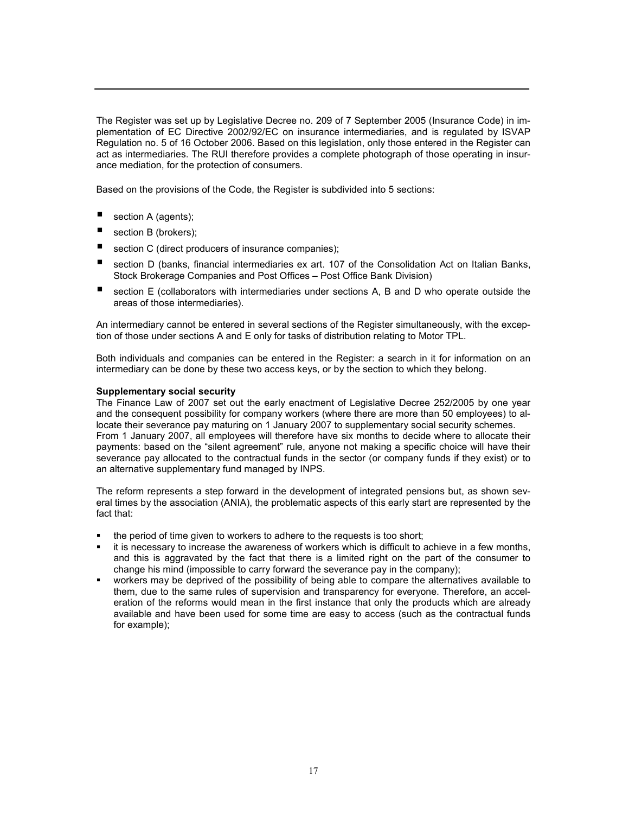The Register was set up by Legislative Decree no. 209 of 7 September 2005 (Insurance Code) in implementation of EC Directive 2002/92/EC on insurance intermediaries, and is regulated by ISVAP Regulation no. 5 of 16 October 2006. Based on this legislation, only those entered in the Register can act as intermediaries. The RUI therefore provides a complete photograph of those operating in insurance mediation, for the protection of consumers.

Based on the provisions of the Code, the Register is subdivided into 5 sections:

- section A (agents);
- section B (brokers);
- section C (direct producers of insurance companies);
- section D (banks, financial intermediaries ex art. 107 of the Consolidation Act on Italian Banks, Stock Brokerage Companies and Post Offices – Post Office Bank Division)
- section E (collaborators with intermediaries under sections A, B and D who operate outside the areas of those intermediaries).

An intermediary cannot be entered in several sections of the Register simultaneously, with the exception of those under sections A and E only for tasks of distribution relating to Motor TPL.

Both individuals and companies can be entered in the Register: a search in it for information on an intermediary can be done by these two access keys, or by the section to which they belong.

#### Supplementary social security

The Finance Law of 2007 set out the early enactment of Legislative Decree 252/2005 by one year and the consequent possibility for company workers (where there are more than 50 employees) to allocate their severance pay maturing on 1 January 2007 to supplementary social security schemes. From 1 January 2007, all employees will therefore have six months to decide where to allocate their payments: based on the "silent agreement" rule, anyone not making a specific choice will have their severance pay allocated to the contractual funds in the sector (or company funds if they exist) or to an alternative supplementary fund managed by INPS.

The reform represents a step forward in the development of integrated pensions but, as shown several times by the association (ANIA), the problematic aspects of this early start are represented by the fact that:

- the period of time given to workers to adhere to the requests is too short;
- it is necessary to increase the awareness of workers which is difficult to achieve in a few months, and this is aggravated by the fact that there is a limited right on the part of the consumer to change his mind (impossible to carry forward the severance pay in the company);
- workers may be deprived of the possibility of being able to compare the alternatives available to them, due to the same rules of supervision and transparency for everyone. Therefore, an acceleration of the reforms would mean in the first instance that only the products which are already available and have been used for some time are easy to access (such as the contractual funds for example);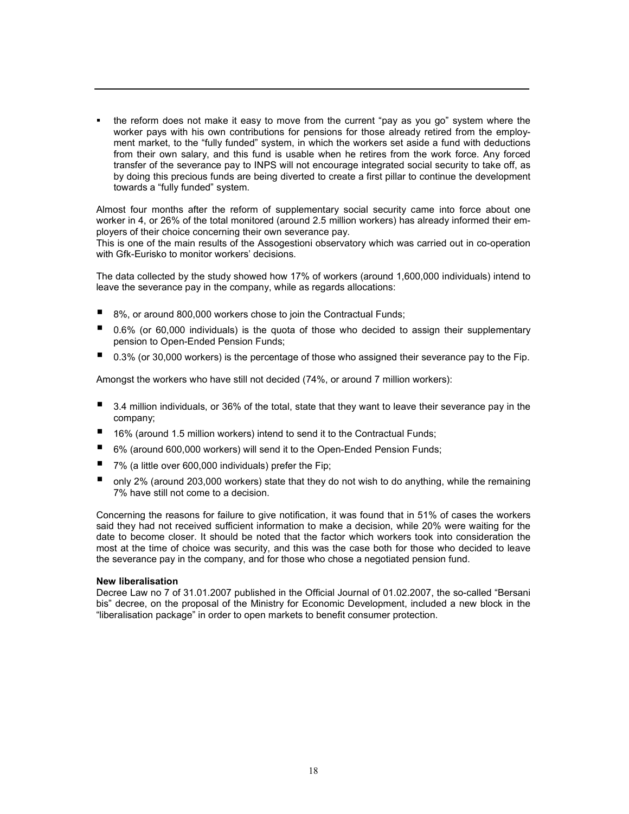• the reform does not make it easy to move from the current "pay as you go" system where the worker pays with his own contributions for pensions for those already retired from the employment market, to the "fully funded" system, in which the workers set aside a fund with deductions from their own salary, and this fund is usable when he retires from the work force. Any forced transfer of the severance pay to INPS will not encourage integrated social security to take off, as by doing this precious funds are being diverted to create a first pillar to continue the development towards a "fully funded" system.

Almost four months after the reform of supplementary social security came into force about one worker in 4, or 26% of the total monitored (around 2.5 million workers) has already informed their employers of their choice concerning their own severance pay.

This is one of the main results of the Assogestioni observatory which was carried out in co-operation with Gfk-Eurisko to monitor workers' decisions.

The data collected by the study showed how 17% of workers (around 1,600,000 individuals) intend to leave the severance pay in the company, while as regards allocations:

- 8%, or around 800,000 workers chose to join the Contractual Funds;
- 0.6% (or 60,000 individuals) is the quota of those who decided to assign their supplementary pension to Open-Ended Pension Funds;
- 0.3% (or 30,000 workers) is the percentage of those who assigned their severance pay to the Fip.

Amongst the workers who have still not decided (74%, or around 7 million workers):

- 3.4 million individuals, or 36% of the total, state that they want to leave their severance pay in the company;
- 16% (around 1.5 million workers) intend to send it to the Contractual Funds;
- 6% (around 600,000 workers) will send it to the Open-Ended Pension Funds;
- 7% (a little over 600,000 individuals) prefer the Fip;
- only 2% (around 203,000 workers) state that they do not wish to do anything, while the remaining 7% have still not come to a decision.

Concerning the reasons for failure to give notification, it was found that in 51% of cases the workers said they had not received sufficient information to make a decision, while 20% were waiting for the date to become closer. It should be noted that the factor which workers took into consideration the most at the time of choice was security, and this was the case both for those who decided to leave the severance pay in the company, and for those who chose a negotiated pension fund.

#### New liberalisation

Decree Law no 7 of 31.01.2007 published in the Official Journal of 01.02.2007, the so-called "Bersani bis" decree, on the proposal of the Ministry for Economic Development, included a new block in the "liberalisation package" in order to open markets to benefit consumer protection.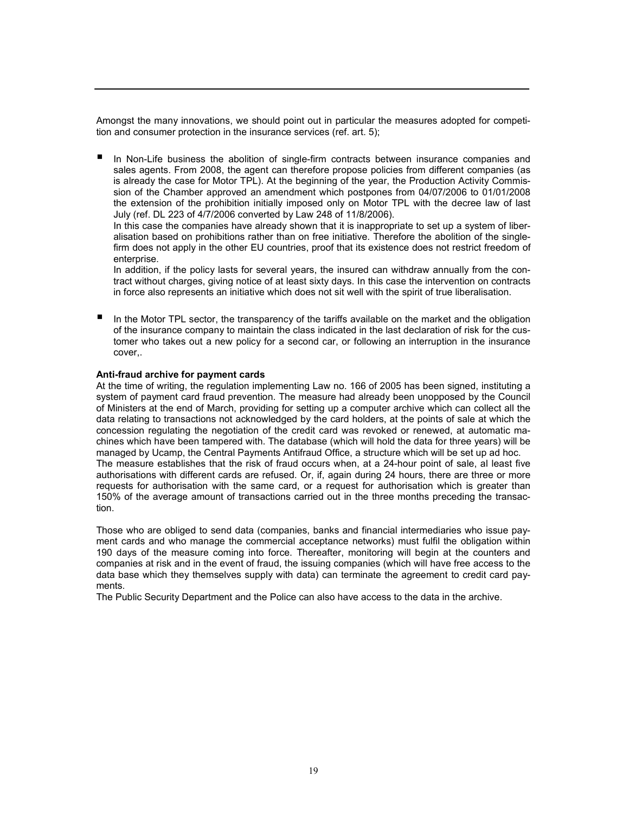Amongst the many innovations, we should point out in particular the measures adopted for competition and consumer protection in the insurance services (ref. art. 5);

 In Non-Life business the abolition of single-firm contracts between insurance companies and sales agents. From 2008, the agent can therefore propose policies from different companies (as is already the case for Motor TPL). At the beginning of the year, the Production Activity Commission of the Chamber approved an amendment which postpones from 04/07/2006 to 01/01/2008 the extension of the prohibition initially imposed only on Motor TPL with the decree law of last July (ref. DL 223 of 4/7/2006 converted by Law 248 of 11/8/2006).

In this case the companies have already shown that it is inappropriate to set up a system of liberalisation based on prohibitions rather than on free initiative. Therefore the abolition of the singlefirm does not apply in the other EU countries, proof that its existence does not restrict freedom of enterprise.

In addition, if the policy lasts for several years, the insured can withdraw annually from the contract without charges, giving notice of at least sixty days. In this case the intervention on contracts in force also represents an initiative which does not sit well with the spirit of true liberalisation.

 In the Motor TPL sector, the transparency of the tariffs available on the market and the obligation of the insurance company to maintain the class indicated in the last declaration of risk for the customer who takes out a new policy for a second car, or following an interruption in the insurance cover,.

#### Anti-fraud archive for payment cards

At the time of writing, the regulation implementing Law no. 166 of 2005 has been signed, instituting a system of payment card fraud prevention. The measure had already been unopposed by the Council of Ministers at the end of March, providing for setting up a computer archive which can collect all the data relating to transactions not acknowledged by the card holders, at the points of sale at which the concession regulating the negotiation of the credit card was revoked or renewed, at automatic machines which have been tampered with. The database (which will hold the data for three years) will be managed by Ucamp, the Central Payments Antifraud Office, a structure which will be set up ad hoc. The measure establishes that the risk of fraud occurs when, at a 24-hour point of sale, al least five authorisations with different cards are refused. Or, if, again during 24 hours, there are three or more requests for authorisation with the same card, or a request for authorisation which is greater than 150% of the average amount of transactions carried out in the three months preceding the transaction.

Those who are obliged to send data (companies, banks and financial intermediaries who issue payment cards and who manage the commercial acceptance networks) must fulfil the obligation within 190 days of the measure coming into force. Thereafter, monitoring will begin at the counters and companies at risk and in the event of fraud, the issuing companies (which will have free access to the data base which they themselves supply with data) can terminate the agreement to credit card payments.

The Public Security Department and the Police can also have access to the data in the archive.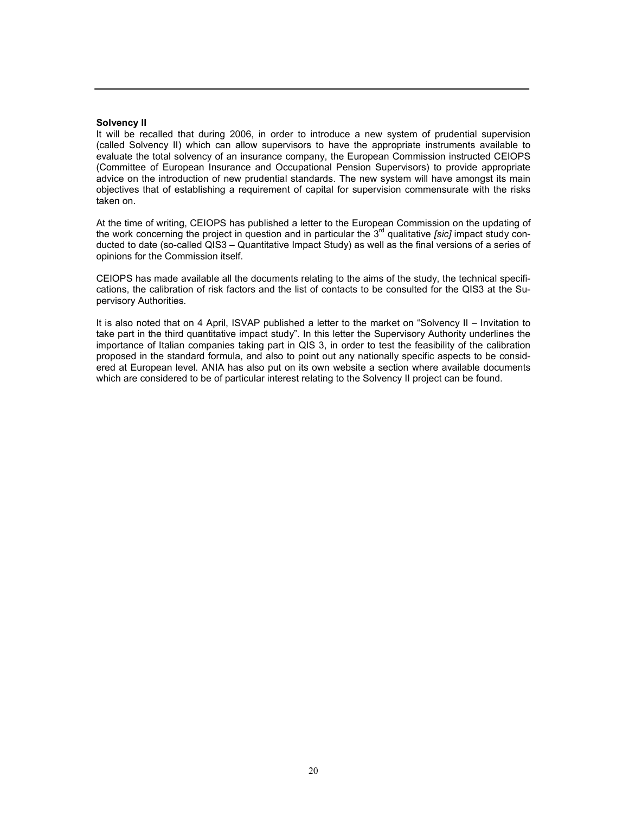#### Solvency II

It will be recalled that during 2006, in order to introduce a new system of prudential supervision (called Solvency II) which can allow supervisors to have the appropriate instruments available to evaluate the total solvency of an insurance company, the European Commission instructed CEIOPS (Committee of European Insurance and Occupational Pension Supervisors) to provide appropriate advice on the introduction of new prudential standards. The new system will have amongst its main objectives that of establishing a requirement of capital for supervision commensurate with the risks taken on.

At the time of writing, CEIOPS has published a letter to the European Commission on the updating of the work concerning the project in question and in particular the  $3<sup>rd</sup>$  qualitative [sic] impact study conducted to date (so-called QIS3 – Quantitative Impact Study) as well as the final versions of a series of opinions for the Commission itself.

CEIOPS has made available all the documents relating to the aims of the study, the technical specifications, the calibration of risk factors and the list of contacts to be consulted for the QIS3 at the Supervisory Authorities.

It is also noted that on 4 April, ISVAP published a letter to the market on "Solvency II – Invitation to take part in the third quantitative impact study". In this letter the Supervisory Authority underlines the importance of Italian companies taking part in QIS 3, in order to test the feasibility of the calibration proposed in the standard formula, and also to point out any nationally specific aspects to be considered at European level. ANIA has also put on its own website a section where available documents which are considered to be of particular interest relating to the Solvency II project can be found.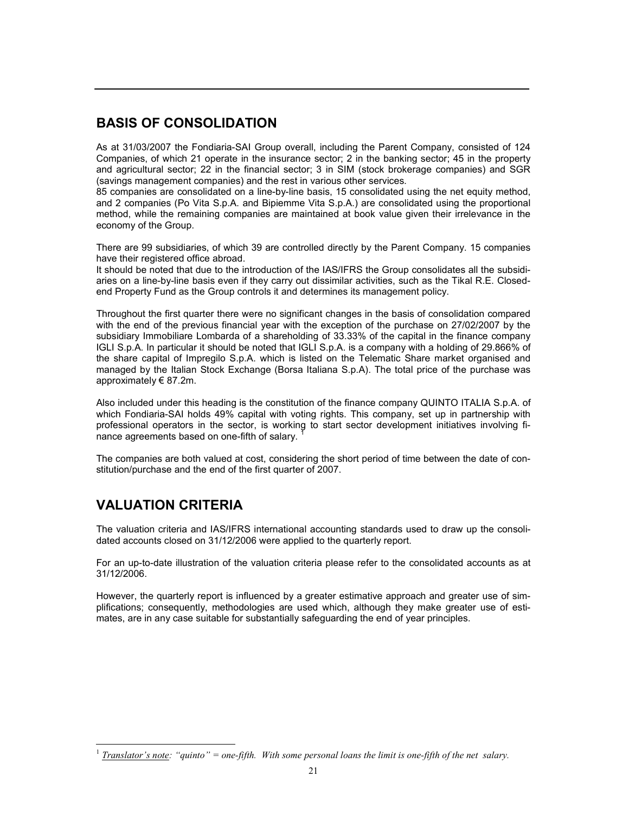# BASIS OF CONSOLIDATION

As at 31/03/2007 the Fondiaria-SAI Group overall, including the Parent Company, consisted of 124 Companies, of which 21 operate in the insurance sector; 2 in the banking sector; 45 in the property and agricultural sector; 22 in the financial sector; 3 in SIM (stock brokerage companies) and SGR (savings management companies) and the rest in various other services.

85 companies are consolidated on a line-by-line basis, 15 consolidated using the net equity method, and 2 companies (Po Vita S.p.A. and Bipiemme Vita S.p.A.) are consolidated using the proportional method, while the remaining companies are maintained at book value given their irrelevance in the economy of the Group.

There are 99 subsidiaries, of which 39 are controlled directly by the Parent Company. 15 companies have their registered office abroad.

It should be noted that due to the introduction of the IAS/IFRS the Group consolidates all the subsidiaries on a line-by-line basis even if they carry out dissimilar activities, such as the Tikal R.E. Closedend Property Fund as the Group controls it and determines its management policy.

Throughout the first quarter there were no significant changes in the basis of consolidation compared with the end of the previous financial year with the exception of the purchase on 27/02/2007 by the subsidiary Immobiliare Lombarda of a shareholding of 33.33% of the capital in the finance company IGLI S.p.A. In particular it should be noted that IGLI S.p.A. is a company with a holding of 29.866% of the share capital of Impregilo S.p.A. which is listed on the Telematic Share market organised and managed by the Italian Stock Exchange (Borsa Italiana S.p.A). The total price of the purchase was approximately € 87.2m.

Also included under this heading is the constitution of the finance company QUINTO ITALIA S.p.A. of which Fondiaria-SAI holds 49% capital with voting rights. This company, set up in partnership with professional operators in the sector, is working to start sector development initiatives involving finance agreements based on one-fifth of salary. <sup>1</sup>

The companies are both valued at cost, considering the short period of time between the date of constitution/purchase and the end of the first quarter of 2007.

# VALUATION CRITERIA

l

The valuation criteria and IAS/IFRS international accounting standards used to draw up the consolidated accounts closed on 31/12/2006 were applied to the quarterly report.

For an up-to-date illustration of the valuation criteria please refer to the consolidated accounts as at 31/12/2006.

However, the quarterly report is influenced by a greater estimative approach and greater use of simplifications; consequently, methodologies are used which, although they make greater use of estimates, are in any case suitable for substantially safeguarding the end of year principles.

<sup>&</sup>lt;sup>1</sup> Translator's note: "quinto" = one-fifth. With some personal loans the limit is one-fifth of the net salary.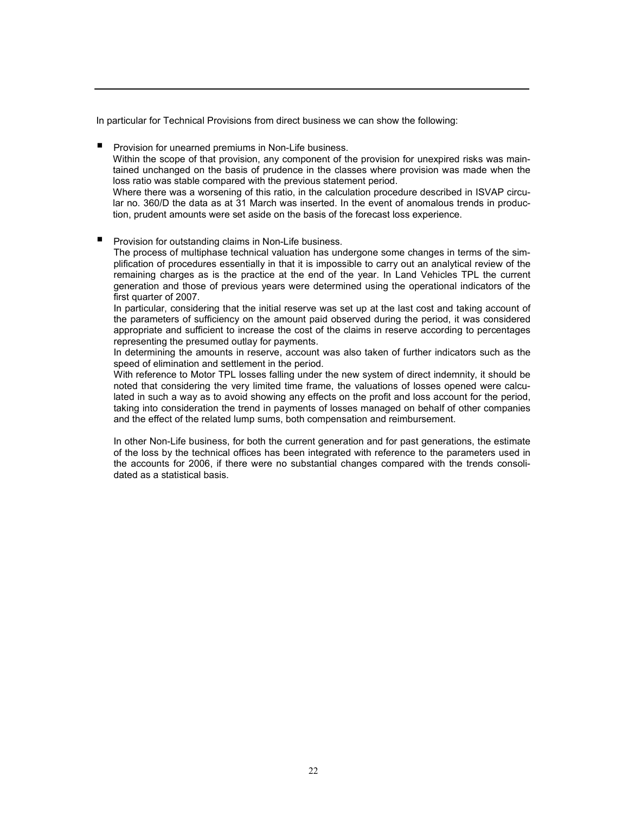In particular for Technical Provisions from direct business we can show the following:

 Provision for unearned premiums in Non-Life business. Within the scope of that provision, any component of the provision for unexpired risks was maintained unchanged on the basis of prudence in the classes where provision was made when the loss ratio was stable compared with the previous statement period. Where there was a worsening of this ratio, in the calculation procedure described in ISVAP circu-

lar no. 360/D the data as at 31 March was inserted. In the event of anomalous trends in production, prudent amounts were set aside on the basis of the forecast loss experience.

Provision for outstanding claims in Non-Life business.

The process of multiphase technical valuation has undergone some changes in terms of the simplification of procedures essentially in that it is impossible to carry out an analytical review of the remaining charges as is the practice at the end of the year. In Land Vehicles TPL the current generation and those of previous years were determined using the operational indicators of the first quarter of 2007.

In particular, considering that the initial reserve was set up at the last cost and taking account of the parameters of sufficiency on the amount paid observed during the period, it was considered appropriate and sufficient to increase the cost of the claims in reserve according to percentages representing the presumed outlay for payments.

In determining the amounts in reserve, account was also taken of further indicators such as the speed of elimination and settlement in the period.

With reference to Motor TPL losses falling under the new system of direct indemnity, it should be noted that considering the very limited time frame, the valuations of losses opened were calculated in such a way as to avoid showing any effects on the profit and loss account for the period, taking into consideration the trend in payments of losses managed on behalf of other companies and the effect of the related lump sums, both compensation and reimbursement.

In other Non-Life business, for both the current generation and for past generations, the estimate of the loss by the technical offices has been integrated with reference to the parameters used in the accounts for 2006, if there were no substantial changes compared with the trends consolidated as a statistical basis.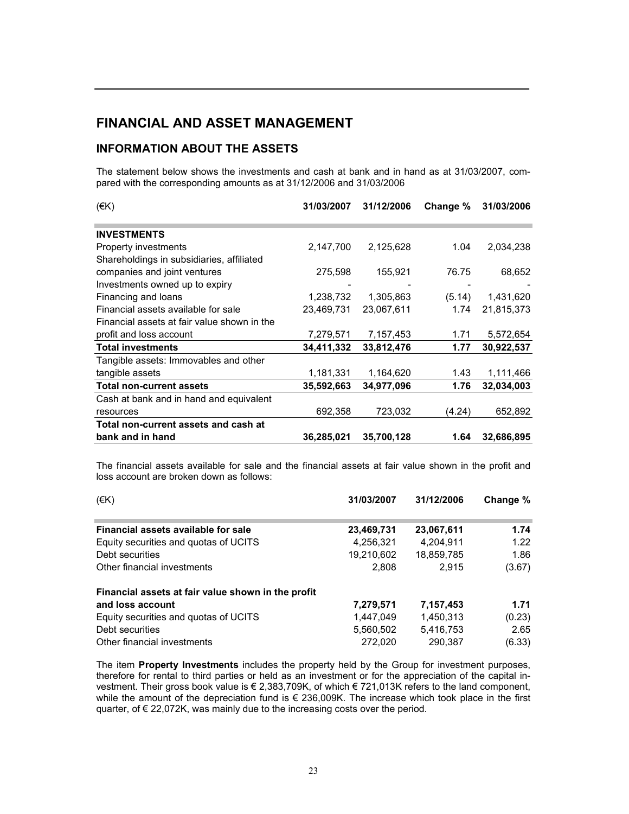# FINANCIAL AND ASSET MANAGEMENT

### INFORMATION ABOUT THE ASSETS

The statement below shows the investments and cash at bank and in hand as at 31/03/2007, compared with the corresponding amounts as at 31/12/2006 and 31/03/2006

| $(\in K)$                                   | 31/03/2007 | 31/12/2006 | Change % | 31/03/2006 |
|---------------------------------------------|------------|------------|----------|------------|
| <b>INVESTMENTS</b>                          |            |            |          |            |
| Property investments                        | 2,147,700  | 2,125,628  | 1.04     | 2,034,238  |
| Shareholdings in subsidiaries, affiliated   |            |            |          |            |
| companies and joint ventures                | 275,598    | 155,921    | 76.75    | 68,652     |
| Investments owned up to expiry              |            |            |          |            |
| Financing and loans                         | 1,238,732  | 1,305,863  | (5.14)   | 1,431,620  |
| Financial assets available for sale         | 23,469,731 | 23,067,611 | 1.74     | 21,815,373 |
| Financial assets at fair value shown in the |            |            |          |            |
| profit and loss account                     | 7,279,571  | 7,157,453  | 1.71     | 5,572,654  |
| <b>Total investments</b>                    | 34,411,332 | 33,812,476 | 1.77     | 30,922,537 |
| Tangible assets: Immovables and other       |            |            |          |            |
| tangible assets                             | 1,181,331  | 1,164,620  | 1.43     | 1,111,466  |
| <b>Total non-current assets</b>             | 35,592,663 | 34,977,096 | 1.76     | 32,034,003 |
| Cash at bank and in hand and equivalent     |            |            |          |            |
| resources                                   | 692,358    | 723,032    | (4.24)   | 652,892    |
| Total non-current assets and cash at        |            |            |          |            |
| bank and in hand                            | 36,285,021 | 35,700,128 | 1.64     | 32,686,895 |

The financial assets available for sale and the financial assets at fair value shown in the profit and loss account are broken down as follows:

| (EK)                                               | 31/03/2007 | 31/12/2006 | Change % |
|----------------------------------------------------|------------|------------|----------|
| Financial assets available for sale                | 23,469,731 | 23,067,611 | 1.74     |
| Equity securities and quotas of UCITS              | 4,256,321  | 4,204,911  | 1.22     |
| Debt securities                                    | 19,210,602 | 18,859,785 | 1.86     |
| Other financial investments                        | 2,808      | 2.915      | (3.67)   |
| Financial assets at fair value shown in the profit |            |            |          |
| and loss account                                   | 7,279,571  | 7,157,453  | 1.71     |
| Equity securities and quotas of UCITS              | 1.447.049  | 1,450,313  | (0.23)   |
| Debt securities                                    | 5,560,502  | 5,416,753  | 2.65     |
| Other financial investments                        | 272,020    | 290,387    | (6.33)   |

The item Property Investments includes the property held by the Group for investment purposes, therefore for rental to third parties or held as an investment or for the appreciation of the capital investment. Their gross book value is € 2,383,709K, of which € 721,013K refers to the land component, while the amount of the depreciation fund is  $\epsilon$  236,009K. The increase which took place in the first quarter, of € 22,072K, was mainly due to the increasing costs over the period.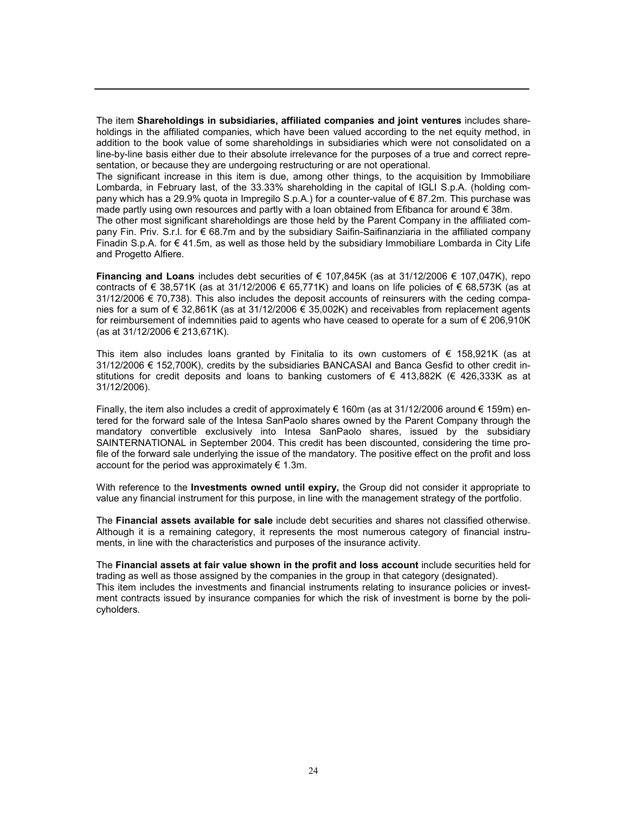The item Shareholdings in subsidiaries, affiliated companies and joint ventures includes shareholdings in the affiliated companies, which have been valued according to the net equity method, in addition to the book value of some shareholdings in subsidiaries which were not consolidated on a line-by-line basis either due to their absolute irrelevance for the purposes of a true and correct representation, or because they are undergoing restructuring or are not operational.

The significant increase in this item is due, among other things, to the acquisition by Immobiliare Lombarda, in February last, of the 33.33% shareholding in the capital of IGLI S.p.A. (holding company which has a 29.9% quota in Impregilo S.p.A.) for a counter-value of € 87.2m. This purchase was made partly using own resources and partly with a loan obtained from Efibanca for around € 38m.

The other most significant shareholdings are those held by the Parent Company in the affiliated company Fin. Priv. S.r.l. for € 68.7m and by the subsidiary Saifin-Saifinanziaria in the affiliated company Finadin S.p.A. for € 41.5m, as well as those held by the subsidiary Immobiliare Lombarda in City Life and Progetto Alfiere.

Financing and Loans includes debt securities of  $\epsilon$  107,845K (as at 31/12/2006  $\epsilon$  107,047K), repo contracts of € 38,571K (as at 31/12/2006 € 65,771K) and loans on life policies of € 68,573K (as at  $31/12/2006 \in 70.738$ ). This also includes the deposit accounts of reinsurers with the ceding companies for a sum of € 32,861K (as at 31/12/2006 € 35,002K) and receivables from replacement agents for reimbursement of indemnities paid to agents who have ceased to operate for a sum of € 206,910K (as at 31/12/2006 € 213,671K).

This item also includes loans granted by Finitalia to its own customers of  $\epsilon$  158,921K (as at 31/12/2006 € 152,700K), credits by the subsidiaries BANCASAI and Banca Gesfid to other credit institutions for credit deposits and loans to banking customers of  $\epsilon$  413,882K ( $\epsilon$  426,333K as at 31/12/2006).

Finally, the item also includes a credit of approximately  $\epsilon$  160m (as at 31/12/2006 around  $\epsilon$  159m) entered for the forward sale of the Intesa SanPaolo shares owned by the Parent Company through the mandatory convertible exclusively into Intesa SanPaolo shares, issued by the subsidiary SAINTERNATIONAL in September 2004. This credit has been discounted, considering the time profile of the forward sale underlying the issue of the mandatory. The positive effect on the profit and loss account for the period was approximately  $\epsilon$  1.3m.

With reference to the Investments owned until expiry, the Group did not consider it appropriate to value any financial instrument for this purpose, in line with the management strategy of the portfolio.

The Financial assets available for sale include debt securities and shares not classified otherwise. Although it is a remaining category, it represents the most numerous category of financial instruments, in line with the characteristics and purposes of the insurance activity.

The Financial assets at fair value shown in the profit and loss account include securities held for trading as well as those assigned by the companies in the group in that category (designated). This item includes the investments and financial instruments relating to insurance policies or investment contracts issued by insurance companies for which the risk of investment is borne by the policyholders.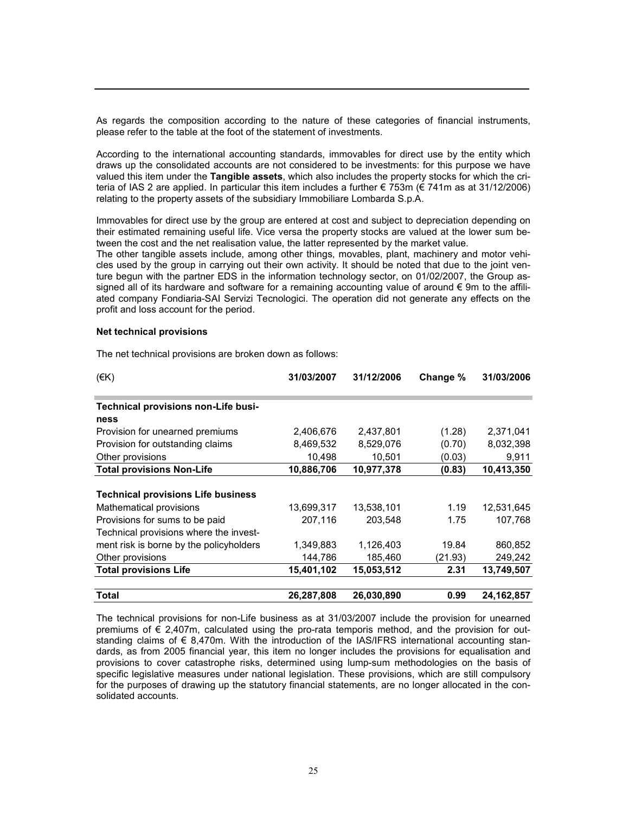As regards the composition according to the nature of these categories of financial instruments, please refer to the table at the foot of the statement of investments.

According to the international accounting standards, immovables for direct use by the entity which draws up the consolidated accounts are not considered to be investments: for this purpose we have valued this item under the Tangible assets, which also includes the property stocks for which the criteria of IAS 2 are applied. In particular this item includes a further € 753m (€ 741m as at 31/12/2006) relating to the property assets of the subsidiary Immobiliare Lombarda S.p.A.

Immovables for direct use by the group are entered at cost and subject to depreciation depending on their estimated remaining useful life. Vice versa the property stocks are valued at the lower sum between the cost and the net realisation value, the latter represented by the market value.

The other tangible assets include, among other things, movables, plant, machinery and motor vehicles used by the group in carrying out their own activity. It should be noted that due to the joint venture begun with the partner EDS in the information technology sector, on 01/02/2007, the Group assigned all of its hardware and software for a remaining accounting value of around € 9m to the affiliated company Fondiaria-SAI Servizi Tecnologici. The operation did not generate any effects on the profit and loss account for the period.

#### Net technical provisions

| (EK)                                      | 31/03/2007 | 31/12/2006 | Change % | 31/03/2006   |
|-------------------------------------------|------------|------------|----------|--------------|
| Technical provisions non-Life busi-       |            |            |          |              |
| ness                                      |            |            |          |              |
| Provision for unearned premiums           | 2,406,676  | 2,437,801  | (1.28)   | 2,371,041    |
| Provision for outstanding claims          | 8,469,532  | 8,529,076  | (0.70)   | 8,032,398    |
| Other provisions                          | 10,498     | 10,501     | (0.03)   | 9,911        |
| <b>Total provisions Non-Life</b>          | 10,886,706 | 10,977,378 | (0.83)   | 10,413,350   |
|                                           |            |            |          |              |
| <b>Technical provisions Life business</b> |            |            |          |              |
| Mathematical provisions                   | 13,699,317 | 13,538,101 | 1.19     | 12,531,645   |
| Provisions for sums to be paid            | 207.116    | 203.548    | 1.75     | 107.768      |
| Technical provisions where the invest-    |            |            |          |              |
| ment risk is borne by the policyholders   | 1,349,883  | 1,126,403  | 19.84    | 860,852      |
| Other provisions                          | 144,786    | 185,460    | (21.93)  | 249,242      |
| <b>Total provisions Life</b>              | 15,401,102 | 15,053,512 | 2.31     | 13,749,507   |
| Total                                     | 26,287,808 | 26,030,890 | 0.99     | 24, 162, 857 |

The net technical provisions are broken down as follows:

The technical provisions for non-Life business as at 31/03/2007 include the provision for unearned premiums of  $\epsilon$  2.407m, calculated using the pro-rata temporis method, and the provision for outstanding claims of € 8,470m. With the introduction of the IAS/IFRS international accounting standards, as from 2005 financial year, this item no longer includes the provisions for equalisation and provisions to cover catastrophe risks, determined using lump-sum methodologies on the basis of specific legislative measures under national legislation. These provisions, which are still compulsory for the purposes of drawing up the statutory financial statements, are no longer allocated in the consolidated accounts.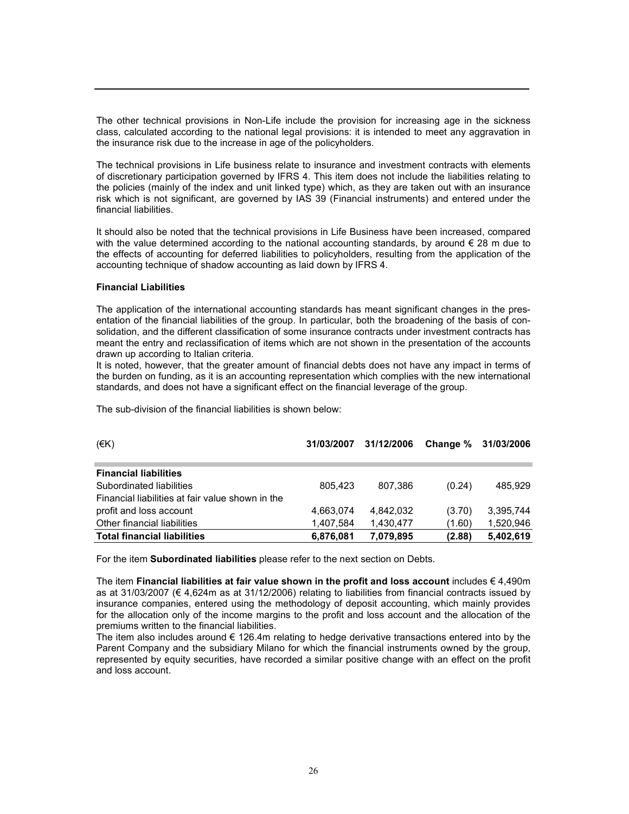The other technical provisions in Non-Life include the provision for increasing age in the sickness class, calculated according to the national legal provisions: it is intended to meet any aggravation in the insurance risk due to the increase in age of the policyholders.

The technical provisions in Life business relate to insurance and investment contracts with elements of discretionary participation governed by IFRS 4. This item does not include the liabilities relating to the policies (mainly of the index and unit linked type) which, as they are taken out with an insurance risk which is not significant, are governed by IAS 39 (Financial instruments) and entered under the financial liabilities.

It should also be noted that the technical provisions in Life Business have been increased, compared with the value determined according to the national accounting standards, by around  $\epsilon$  28 m due to the effects of accounting for deferred liabilities to policyholders, resulting from the application of the accounting technique of shadow accounting as laid down by IFRS 4.

#### Financial Liabilities

The application of the international accounting standards has meant significant changes in the presentation of the financial liabilities of the group. In particular, both the broadening of the basis of consolidation, and the different classification of some insurance contracts under investment contracts has meant the entry and reclassification of items which are not shown in the presentation of the accounts drawn up according to Italian criteria.

It is noted, however, that the greater amount of financial debts does not have any impact in terms of the burden on funding, as it is an accounting representation which complies with the new international standards, and does not have a significant effect on the financial leverage of the group.

The sub-division of the financial liabilities is shown below:

| (EK)                                             | 31/03/2007 | 31/12/2006 |        | Change % 31/03/2006 |
|--------------------------------------------------|------------|------------|--------|---------------------|
| <b>Financial liabilities</b>                     |            |            |        |                     |
| Subordinated liabilities                         | 805.423    | 807.386    | (0.24) | 485.929             |
| Financial liabilities at fair value shown in the |            |            |        |                     |
| profit and loss account                          | 4,663,074  | 4.842.032  | (3.70) | 3,395,744           |
| Other financial liabilities                      | 1,407,584  | 1,430,477  | (1.60) | 1,520,946           |
| <b>Total financial liabilities</b>               | 6,876,081  | 7,079,895  | (2.88) | 5.402.619           |

For the item Subordinated liabilities please refer to the next section on Debts.

The item Financial liabilities at fair value shown in the profit and loss account includes  $\epsilon$  4,490m as at 31/03/2007 (€ 4,624m as at 31/12/2006) relating to liabilities from financial contracts issued by insurance companies, entered using the methodology of deposit accounting, which mainly provides for the allocation only of the income margins to the profit and loss account and the allocation of the premiums written to the financial liabilities.

The item also includes around  $\epsilon$  126.4m relating to hedge derivative transactions entered into by the Parent Company and the subsidiary Milano for which the financial instruments owned by the group, represented by equity securities, have recorded a similar positive change with an effect on the profit and loss account.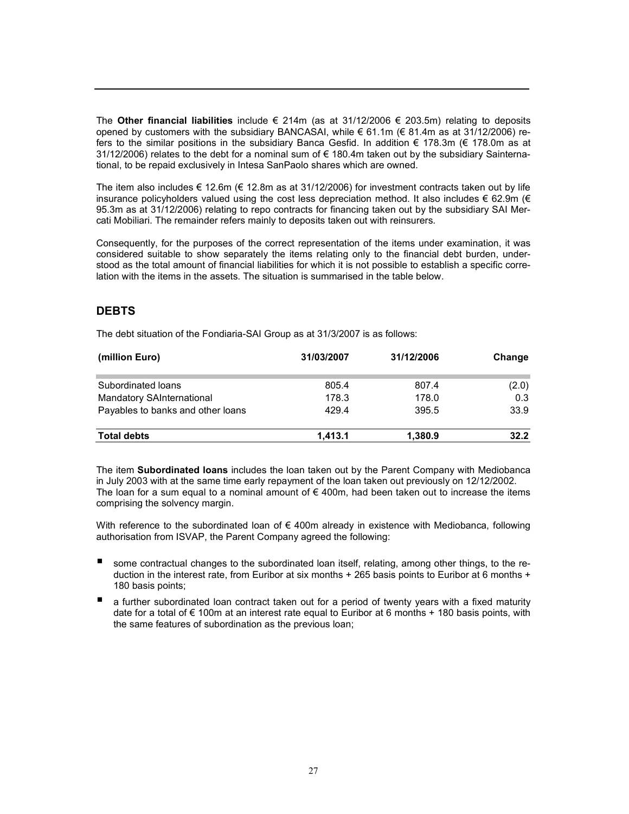The Other financial liabilities include  $\epsilon$  214m (as at 31/12/2006  $\epsilon$  203.5m) relating to deposits opened by customers with the subsidiary BANCASAI, while € 61.1m (€ 81.4m as at 31/12/2006) refers to the similar positions in the subsidiary Banca Gesfid. In addition € 178.3m (€ 178.0m as at 31/12/2006) relates to the debt for a nominal sum of  $\epsilon$  180.4m taken out by the subsidiary Sainternational, to be repaid exclusively in Intesa SanPaolo shares which are owned.

The item also includes  $\epsilon$  12.6m ( $\epsilon$  12.8m as at 31/12/2006) for investment contracts taken out by life insurance policyholders valued using the cost less depreciation method. It also includes  $\epsilon$  62.9m ( $\epsilon$ 95.3m as at 31/12/2006) relating to repo contracts for financing taken out by the subsidiary SAI Mercati Mobiliari. The remainder refers mainly to deposits taken out with reinsurers.

Consequently, for the purposes of the correct representation of the items under examination, it was considered suitable to show separately the items relating only to the financial debt burden, understood as the total amount of financial liabilities for which it is not possible to establish a specific correlation with the items in the assets. The situation is summarised in the table below.

# **DEBTS**

The debt situation of the Fondiaria-SAI Group as at 31/3/2007 is as follows:

| (million Euro)                    | 31/03/2007 | 31/12/2006 | Change |
|-----------------------------------|------------|------------|--------|
| Subordinated loans                | 805.4      | 807.4      | (2.0)  |
| <b>Mandatory SAInternational</b>  | 178.3      | 178.0      | 0.3    |
| Payables to banks and other loans | 429.4      | 395.5      | 33.9   |
| <b>Total debts</b>                | 1.413.1    | 1,380.9    | 32.2   |

The item Subordinated loans includes the loan taken out by the Parent Company with Mediobanca in July 2003 with at the same time early repayment of the loan taken out previously on 12/12/2002. The loan for a sum equal to a nominal amount of  $\epsilon$  400m, had been taken out to increase the items comprising the solvency margin.

With reference to the subordinated loan of  $\epsilon$  400m already in existence with Mediobanca, following authorisation from ISVAP, the Parent Company agreed the following:

- some contractual changes to the subordinated loan itself, relating, among other things, to the reduction in the interest rate, from Euribor at six months + 265 basis points to Euribor at 6 months + 180 basis points;
- a further subordinated loan contract taken out for a period of twenty years with a fixed maturity date for a total of  $\epsilon$  100m at an interest rate equal to Euribor at 6 months + 180 basis points, with the same features of subordination as the previous loan;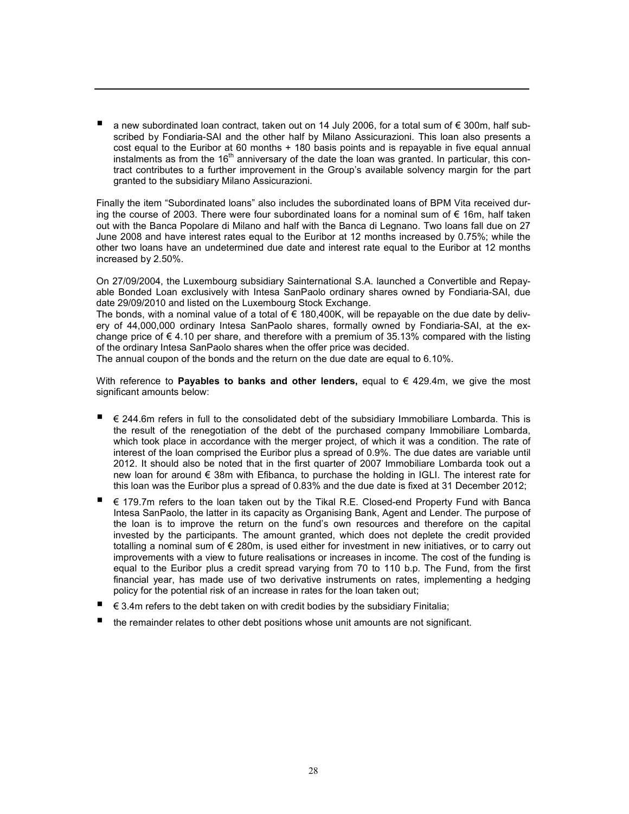a new subordinated loan contract, taken out on 14 July 2006, for a total sum of € 300m, half subscribed by Fondiaria-SAI and the other half by Milano Assicurazioni. This loan also presents a cost equal to the Euribor at 60 months + 180 basis points and is repayable in five equal annual instalments as from the  $16<sup>th</sup>$  anniversary of the date the loan was granted. In particular, this contract contributes to a further improvement in the Group's available solvency margin for the part granted to the subsidiary Milano Assicurazioni.

Finally the item "Subordinated loans" also includes the subordinated loans of BPM Vita received during the course of 2003. There were four subordinated loans for a nominal sum of  $\epsilon$  16m, half taken out with the Banca Popolare di Milano and half with the Banca di Legnano. Two loans fall due on 27 June 2008 and have interest rates equal to the Euribor at 12 months increased by 0.75%; while the other two loans have an undetermined due date and interest rate equal to the Euribor at 12 months increased by 2.50%.

On 27/09/2004, the Luxembourg subsidiary Sainternational S.A. launched a Convertible and Repayable Bonded Loan exclusively with Intesa SanPaolo ordinary shares owned by Fondiaria-SAI, due date 29/09/2010 and listed on the Luxembourg Stock Exchange.

The bonds, with a nominal value of a total of  $\epsilon$  180,400K, will be repayable on the due date by delivery of 44,000,000 ordinary Intesa SanPaolo shares, formally owned by Fondiaria-SAI, at the exchange price of  $\epsilon$  4.10 per share, and therefore with a premium of 35.13% compared with the listing of the ordinary Intesa SanPaolo shares when the offer price was decided.

The annual coupon of the bonds and the return on the due date are equal to 6.10%.

With reference to **Payables to banks and other lenders**, equal to  $\epsilon$  429.4m, we give the most significant amounts below:

- € 244.6m refers in full to the consolidated debt of the subsidiary Immobiliare Lombarda. This is the result of the renegotiation of the debt of the purchased company Immobiliare Lombarda, which took place in accordance with the merger project, of which it was a condition. The rate of interest of the loan comprised the Euribor plus a spread of 0.9%. The due dates are variable until 2012. It should also be noted that in the first quarter of 2007 Immobiliare Lombarda took out a new loan for around € 38m with Efibanca, to purchase the holding in IGLI. The interest rate for this loan was the Euribor plus a spread of 0.83% and the due date is fixed at 31 December 2012;
- € 179.7m refers to the loan taken out by the Tikal R.E. Closed-end Property Fund with Banca Intesa SanPaolo, the latter in its capacity as Organising Bank, Agent and Lender. The purpose of the loan is to improve the return on the fund's own resources and therefore on the capital invested by the participants. The amount granted, which does not deplete the credit provided totalling a nominal sum of € 280m, is used either for investment in new initiatives, or to carry out improvements with a view to future realisations or increases in income. The cost of the funding is equal to the Euribor plus a credit spread varying from 70 to 110 b.p. The Fund, from the first financial year, has made use of two derivative instruments on rates, implementing a hedging policy for the potential risk of an increase in rates for the loan taken out;
- $\epsilon$  3.4m refers to the debt taken on with credit bodies by the subsidiary Finitalia;
- the remainder relates to other debt positions whose unit amounts are not significant.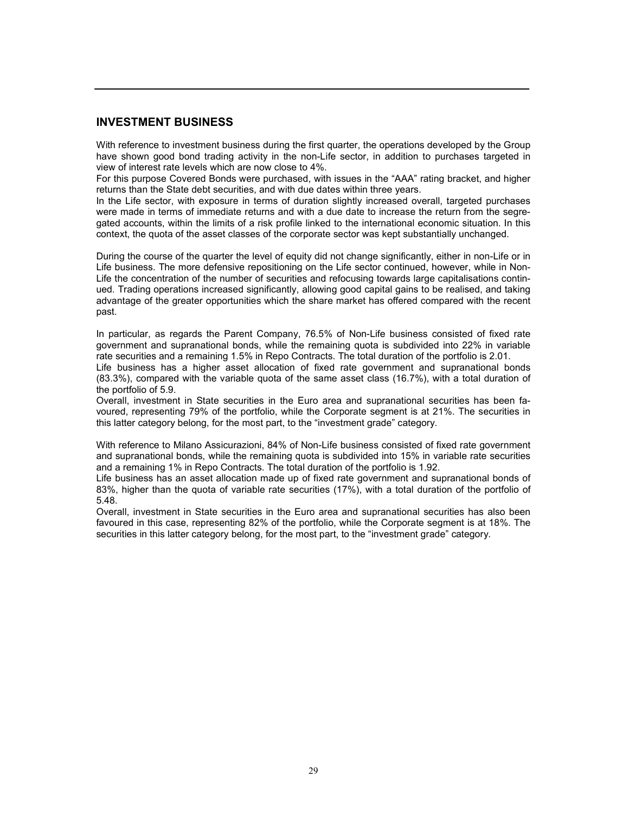### INVESTMENT BUSINESS

With reference to investment business during the first quarter, the operations developed by the Group have shown good bond trading activity in the non-Life sector, in addition to purchases targeted in view of interest rate levels which are now close to 4%.

For this purpose Covered Bonds were purchased, with issues in the "AAA" rating bracket, and higher returns than the State debt securities, and with due dates within three years.

In the Life sector, with exposure in terms of duration slightly increased overall, targeted purchases were made in terms of immediate returns and with a due date to increase the return from the segregated accounts, within the limits of a risk profile linked to the international economic situation. In this context, the quota of the asset classes of the corporate sector was kept substantially unchanged.

During the course of the quarter the level of equity did not change significantly, either in non-Life or in Life business. The more defensive repositioning on the Life sector continued, however, while in Non-Life the concentration of the number of securities and refocusing towards large capitalisations continued. Trading operations increased significantly, allowing good capital gains to be realised, and taking advantage of the greater opportunities which the share market has offered compared with the recent past.

In particular, as regards the Parent Company, 76.5% of Non-Life business consisted of fixed rate government and supranational bonds, while the remaining quota is subdivided into 22% in variable rate securities and a remaining 1.5% in Repo Contracts. The total duration of the portfolio is 2.01.

Life business has a higher asset allocation of fixed rate government and supranational bonds (83.3%), compared with the variable quota of the same asset class (16.7%), with a total duration of the portfolio of 5.9.

Overall, investment in State securities in the Euro area and supranational securities has been favoured, representing 79% of the portfolio, while the Corporate segment is at 21%. The securities in this latter category belong, for the most part, to the "investment grade" category.

With reference to Milano Assicurazioni, 84% of Non-Life business consisted of fixed rate government and supranational bonds, while the remaining quota is subdivided into 15% in variable rate securities and a remaining 1% in Repo Contracts. The total duration of the portfolio is 1.92.

Life business has an asset allocation made up of fixed rate government and supranational bonds of 83%, higher than the quota of variable rate securities (17%), with a total duration of the portfolio of 5.48.

Overall, investment in State securities in the Euro area and supranational securities has also been favoured in this case, representing 82% of the portfolio, while the Corporate segment is at 18%. The securities in this latter category belong, for the most part, to the "investment grade" category.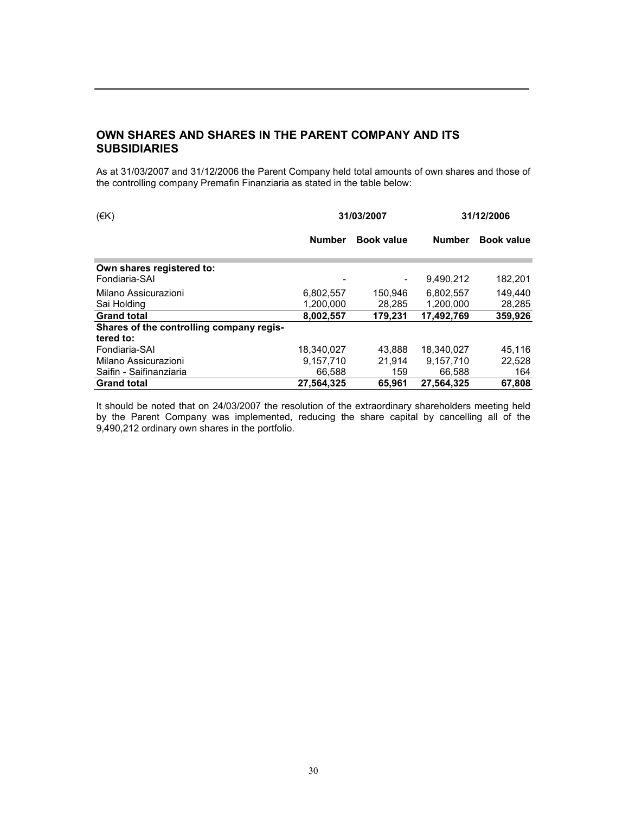# OWN SHARES AND SHARES IN THE PARENT COMPANY AND ITS **SUBSIDIARIES**

As at 31/03/2007 and 31/12/2006 the Parent Company held total amounts of own shares and those of the controlling company Premafin Finanziaria as stated in the table below:

| (EK)                                       | 31/03/2007             |                   |                        | 31/12/2006        |  |
|--------------------------------------------|------------------------|-------------------|------------------------|-------------------|--|
|                                            | <b>Number</b>          | <b>Book value</b> | <b>Number</b>          | <b>Book value</b> |  |
| Own shares registered to:<br>Fondiaria-SAI |                        |                   | 9,490,212              | 182,201           |  |
| Milano Assicurazioni<br>Sai Holding        | 6,802,557<br>1,200,000 | 150.946<br>28,285 | 6.802.557<br>1.200.000 | 149,440<br>28,285 |  |
| <b>Grand total</b>                         | 8.002.557              | 179.231           | 17.492.769             | 359,926           |  |
| Shares of the controlling company regis-   |                        |                   |                        |                   |  |
| tered to:                                  |                        |                   |                        |                   |  |
| Fondiaria-SAI                              | 18,340,027             | 43.888            | 18,340,027             | 45.116            |  |
| Milano Assicurazioni                       | 9,157,710              | 21.914            | 9,157,710              | 22,528            |  |
| Saifin - Saifinanziaria                    | 66,588                 | 159               | 66,588                 | 164               |  |
| <b>Grand total</b>                         | 27,564,325             | 65,961            | 27.564.325             | 67.808            |  |

It should be noted that on 24/03/2007 the resolution of the extraordinary shareholders meeting held by the Parent Company was implemented, reducing the share capital by cancelling all of the 9,490,212 ordinary own shares in the portfolio.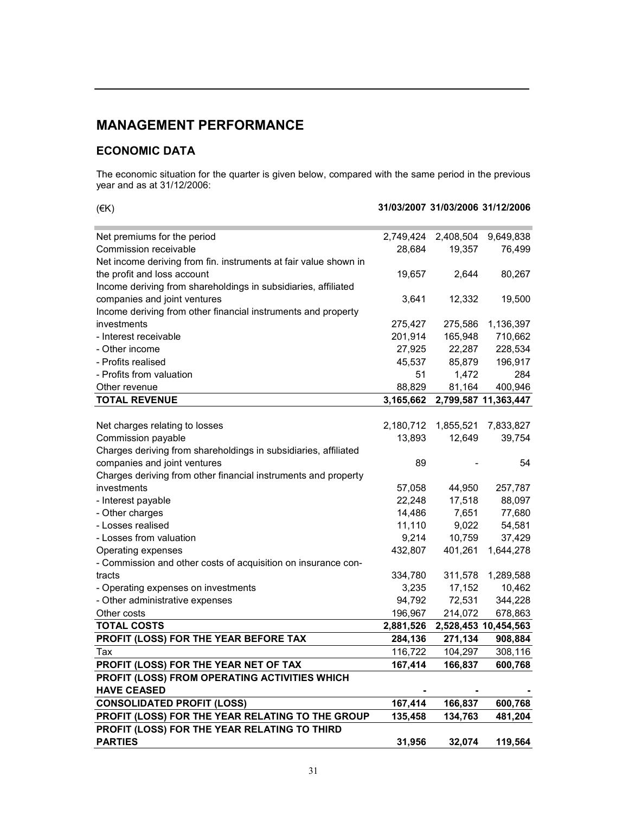# MANAGEMENT PERFORMANCE

# ECONOMIC DATA

The economic situation for the quarter is given below, compared with the same period in the previous year and as at 31/12/2006:

| (EK)                                                             |           |           | 31/03/2007 31/03/2006 31/12/2006 |
|------------------------------------------------------------------|-----------|-----------|----------------------------------|
| Net premiums for the period                                      | 2,749,424 | 2,408,504 | 9,649,838                        |
| Commission receivable                                            | 28,684    | 19,357    | 76,499                           |
| Net income deriving from fin. instruments at fair value shown in |           |           |                                  |
| the profit and loss account                                      | 19,657    | 2,644     | 80,267                           |
| Income deriving from shareholdings in subsidiaries, affiliated   |           |           |                                  |
| companies and joint ventures                                     | 3,641     | 12,332    | 19,500                           |
| Income deriving from other financial instruments and property    |           |           |                                  |
| investments                                                      | 275,427   | 275,586   | 1,136,397                        |
| - Interest receivable                                            | 201,914   | 165,948   | 710,662                          |
| - Other income                                                   | 27,925    | 22,287    | 228,534                          |
| - Profits realised                                               | 45,537    | 85,879    | 196,917                          |
| - Profits from valuation                                         | 51        | 1,472     | 284                              |
| Other revenue                                                    | 88,829    | 81,164    | 400,946                          |
| <b>TOTAL REVENUE</b>                                             | 3,165,662 |           | 2,799,587 11,363,447             |
|                                                                  |           |           |                                  |
| Net charges relating to losses                                   | 2,180,712 | 1,855,521 | 7,833,827                        |
| Commission payable                                               | 13,893    | 12,649    | 39,754                           |
| Charges deriving from shareholdings in subsidiaries, affiliated  |           |           |                                  |
| companies and joint ventures                                     | 89        |           | 54                               |
| Charges deriving from other financial instruments and property   |           |           |                                  |
| investments                                                      | 57,058    | 44,950    | 257,787                          |
| - Interest payable                                               | 22,248    | 17,518    | 88,097                           |
| - Other charges                                                  | 14,486    | 7,651     | 77,680                           |
| - Losses realised                                                | 11,110    | 9,022     | 54,581                           |
| - Losses from valuation                                          | 9,214     | 10,759    | 37,429                           |
| Operating expenses                                               | 432,807   | 401,261   | 1,644,278                        |
| - Commission and other costs of acquisition on insurance con-    |           |           |                                  |
| tracts                                                           | 334,780   | 311,578   | 1,289,588                        |
| - Operating expenses on investments                              | 3,235     | 17,152    | 10,462                           |
| - Other administrative expenses                                  | 94,792    | 72,531    | 344,228                          |
| Other costs                                                      | 196,967   | 214,072   | 678,863                          |
| <b>TOTAL COSTS</b>                                               | 2,881,526 |           | 2,528,453 10,454,563             |
| PROFIT (LOSS) FOR THE YEAR BEFORE TAX                            | 284,136   | 271,134   | 908,884                          |
| Tax                                                              | 116,722   | 104,297   | 308,116                          |
| PROFIT (LOSS) FOR THE YEAR NET OF TAX                            | 167,414   | 166,837   | 600,768                          |
| PROFIT (LOSS) FROM OPERATING ACTIVITIES WHICH                    |           |           |                                  |
| <b>HAVE CEASED</b>                                               |           |           |                                  |
| <b>CONSOLIDATED PROFIT (LOSS)</b>                                | 167,414   | 166,837   | 600,768                          |
| PROFIT (LOSS) FOR THE YEAR RELATING TO THE GROUP                 | 135,458   | 134,763   | 481,204                          |
| PROFIT (LOSS) FOR THE YEAR RELATING TO THIRD                     |           |           |                                  |
| <b>PARTIES</b>                                                   | 31,956    | 32,074    | 119,564                          |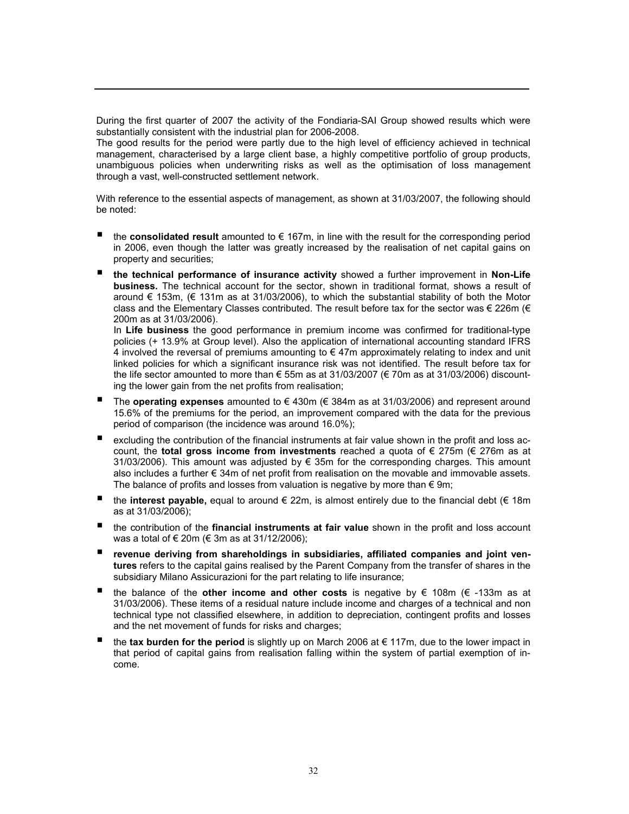During the first quarter of 2007 the activity of the Fondiaria-SAI Group showed results which were substantially consistent with the industrial plan for 2006-2008.

The good results for the period were partly due to the high level of efficiency achieved in technical management, characterised by a large client base, a highly competitive portfolio of group products, unambiguous policies when underwriting risks as well as the optimisation of loss management through a vast, well-constructed settlement network.

With reference to the essential aspects of management, as shown at 31/03/2007, the following should be noted:

- the consolidated result amounted to  $€ 167m$ , in line with the result for the corresponding period in 2006, even though the latter was greatly increased by the realisation of net capital gains on property and securities;
- the technical performance of insurance activity showed a further improvement in Non-Life business. The technical account for the sector, shown in traditional format, shows a result of around € 153m, (€ 131m as at 31/03/2006), to which the substantial stability of both the Motor class and the Elementary Classes contributed. The result before tax for the sector was  $\epsilon$  226m ( $\epsilon$ 200m as at 31/03/2006).

In Life business the good performance in premium income was confirmed for traditional-type policies (+ 13.9% at Group level). Also the application of international accounting standard IFRS 4 involved the reversal of premiums amounting to  $\epsilon$  47m approximately relating to index and unit linked policies for which a significant insurance risk was not identified. The result before tax for the life sector amounted to more than € 55m as at 31/03/2007 (€ 70m as at 31/03/2006) discounting the lower gain from the net profits from realisation;

- The **operating expenses** amounted to  $\in$  430m ( $\in$  384m as at 31/03/2006) and represent around 15.6% of the premiums for the period, an improvement compared with the data for the previous period of comparison (the incidence was around 16.0%);
- excluding the contribution of the financial instruments at fair value shown in the profit and loss account, the total gross income from investments reached a quota of  $\epsilon$  275m ( $\epsilon$  276m as at 31/03/2006). This amount was adjusted by € 35m for the corresponding charges. This amount also includes a further € 34m of net profit from realisation on the movable and immovable assets. The balance of profits and losses from valuation is negative by more than  $\epsilon$  9m;
- the interest payable, equal to around  $\epsilon$  22m, is almost entirely due to the financial debt ( $\epsilon$  18m as at 31/03/2006);
- $\blacksquare$  the contribution of the financial instruments at fair value shown in the profit and loss account was a total of € 20m (€ 3m as at 31/12/2006);
- revenue deriving from shareholdings in subsidiaries, affiliated companies and joint ventures refers to the capital gains realised by the Parent Company from the transfer of shares in the subsidiary Milano Assicurazioni for the part relating to life insurance;
- **■** the balance of the other income and other costs is negative by  $\epsilon$  108m ( $\epsilon$  -133m as at 31/03/2006). These items of a residual nature include income and charges of a technical and non technical type not classified elsewhere, in addition to depreciation, contingent profits and losses and the net movement of funds for risks and charges;
- the tax burden for the period is slightly up on March 2006 at  $\epsilon$  117m, due to the lower impact in that period of capital gains from realisation falling within the system of partial exemption of income.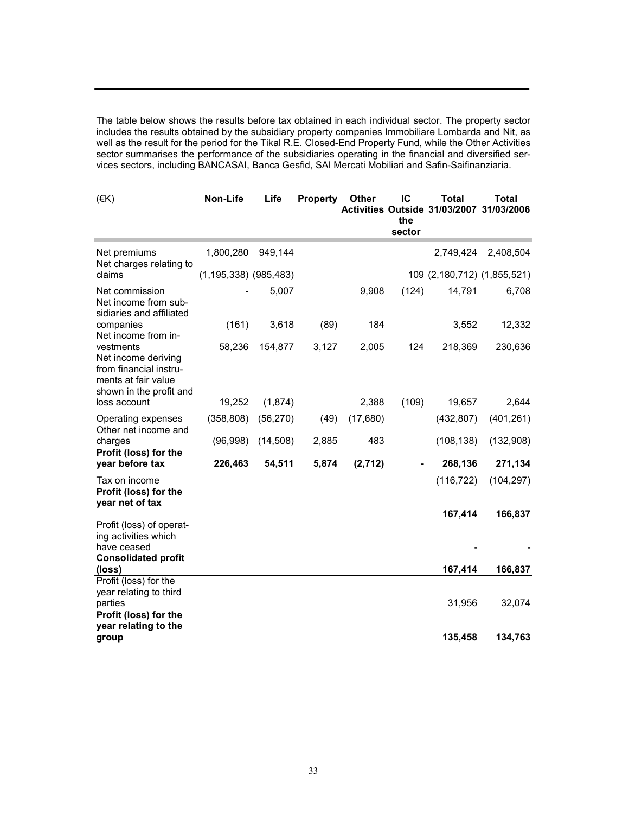The table below shows the results before tax obtained in each individual sector. The property sector includes the results obtained by the subsidiary property companies Immobiliare Lombarda and Nit, as well as the result for the period for the Tikal R.E. Closed-End Property Fund, while the Other Activities sector summarises the performance of the subsidiaries operating in the financial and diversified services sectors, including BANCASAI, Banca Gesfid, SAI Mercati Mobiliari and Safin-Saifinanziaria.

| (EK)                                                                                                         | Non-Life                  | Life      | <b>Property</b> | Other    | IC<br>the<br>sector | <b>Total</b><br>Activities Outside 31/03/2007 | <b>Total</b><br>31/03/2006  |
|--------------------------------------------------------------------------------------------------------------|---------------------------|-----------|-----------------|----------|---------------------|-----------------------------------------------|-----------------------------|
| Net premiums<br>Net charges relating to                                                                      | 1,800,280                 | 949,144   |                 |          |                     | 2,749,424                                     | 2,408,504                   |
| claims                                                                                                       | $(1, 195, 338)$ (985,483) |           |                 |          |                     |                                               | 109 (2,180,712) (1,855,521) |
| Net commission<br>Net income from sub-<br>sidiaries and affiliated                                           |                           | 5,007     |                 | 9,908    | (124)               | 14,791                                        | 6,708                       |
| companies<br>Net income from in-                                                                             | (161)                     | 3,618     | (89)            | 184      |                     | 3,552                                         | 12,332                      |
| vestments<br>Net income deriving<br>from financial instru-<br>ments at fair value<br>shown in the profit and | 58,236                    | 154,877   | 3,127           | 2,005    | 124                 | 218,369                                       | 230,636                     |
| loss account                                                                                                 | 19,252                    | (1,874)   |                 | 2,388    | (109)               | 19,657                                        | 2,644                       |
| Operating expenses<br>Other net income and                                                                   | (358, 808)                | (56, 270) | (49)            | (17,680) |                     | (432, 807)                                    | (401, 261)                  |
| charges                                                                                                      | (96, 998)                 | (14, 508) | 2,885           | 483      |                     | (108, 138)                                    | (132,908)                   |
| Profit (loss) for the<br>year before tax                                                                     | 226,463                   | 54,511    | 5,874           | (2,712)  |                     | 268,136                                       | 271,134                     |
| Tax on income<br>Profit (loss) for the<br>year net of tax                                                    |                           |           |                 |          |                     | (116, 722)                                    | (104, 297)                  |
| Profit (loss) of operat-<br>ing activities which<br>have ceased<br><b>Consolidated profit</b><br>(loss)      |                           |           |                 |          |                     | 167,414<br>167,414                            | 166,837<br>166,837          |
| Profit (loss) for the<br>year relating to third                                                              |                           |           |                 |          |                     |                                               |                             |
| parties                                                                                                      |                           |           |                 |          |                     | 31,956                                        | 32,074                      |
| Profit (loss) for the<br>year relating to the                                                                |                           |           |                 |          |                     |                                               |                             |
| group                                                                                                        |                           |           |                 |          |                     | 135,458                                       | 134,763                     |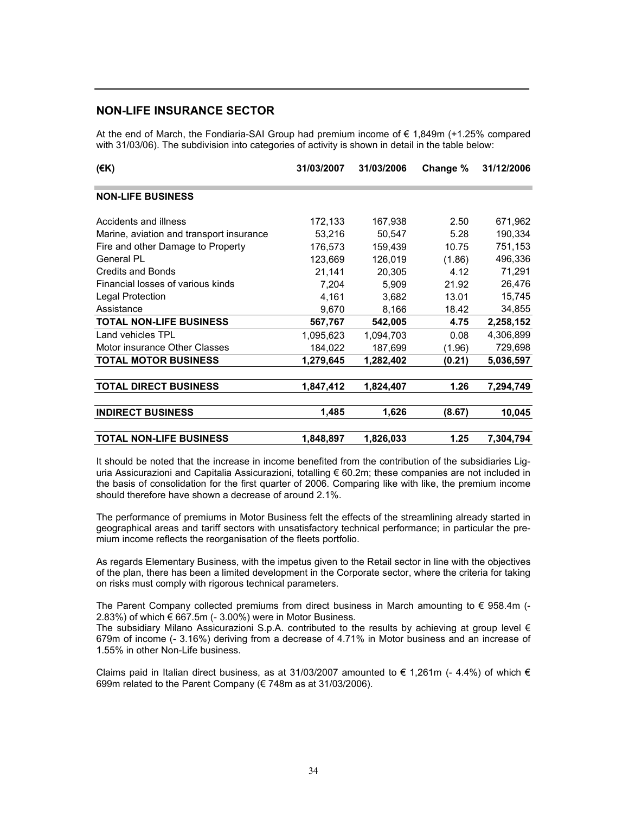### NON-LIFE INSURANCE SECTOR

At the end of March, the Fondiaria-SAI Group had premium income of € 1,849m (+1.25% compared with 31/03/06). The subdivision into categories of activity is shown in detail in the table below:

| (€K)                                     | 31/03/2007 | 31/03/2006 | Change % | 31/12/2006 |  |
|------------------------------------------|------------|------------|----------|------------|--|
| <b>NON-LIFE BUSINESS</b>                 |            |            |          |            |  |
| Accidents and illness                    | 172,133    | 167,938    | 2.50     | 671,962    |  |
| Marine, aviation and transport insurance | 53,216     | 50,547     | 5.28     | 190,334    |  |
| Fire and other Damage to Property        | 176,573    | 159,439    | 10.75    | 751,153    |  |
| General PL                               | 123,669    | 126,019    | (1.86)   | 496,336    |  |
| <b>Credits and Bonds</b>                 | 21,141     | 20,305     | 4.12     | 71,291     |  |
| Financial losses of various kinds        | 7,204      | 5,909      | 21.92    | 26,476     |  |
| Legal Protection                         | 4,161      | 3,682      | 13.01    | 15,745     |  |
| Assistance                               | 9,670      | 8,166      | 18.42    | 34,855     |  |
| <b>TOTAL NON-LIFE BUSINESS</b>           | 567,767    | 542,005    | 4.75     | 2,258,152  |  |
| Land vehicles TPL                        | 1,095,623  | 1,094,703  | 0.08     | 4,306,899  |  |
| Motor insurance Other Classes            | 184,022    | 187,699    | (1.96)   | 729,698    |  |
| <b>TOTAL MOTOR BUSINESS</b>              | 1,279,645  | 1,282,402  | (0.21)   | 5,036,597  |  |
| <b>TOTAL DIRECT BUSINESS</b>             | 1,847,412  | 1,824,407  | 1.26     | 7,294,749  |  |
| <b>INDIRECT BUSINESS</b>                 | 1,485      | 1,626      | (8.67)   | 10,045     |  |
| <b>TOTAL NON-LIFE BUSINESS</b>           | 1,848,897  | 1,826,033  | 1.25     | 7,304,794  |  |

It should be noted that the increase in income benefited from the contribution of the subsidiaries Liguria Assicurazioni and Capitalia Assicurazioni, totalling € 60.2m; these companies are not included in the basis of consolidation for the first quarter of 2006. Comparing like with like, the premium income should therefore have shown a decrease of around 2.1%.

The performance of premiums in Motor Business felt the effects of the streamlining already started in geographical areas and tariff sectors with unsatisfactory technical performance; in particular the premium income reflects the reorganisation of the fleets portfolio.

As regards Elementary Business, with the impetus given to the Retail sector in line with the objectives of the plan, there has been a limited development in the Corporate sector, where the criteria for taking on risks must comply with rigorous technical parameters.

The Parent Company collected premiums from direct business in March amounting to  $\epsilon$  958.4m (-2.83%) of which  $\epsilon$  667.5m (- 3.00%) were in Motor Business.

The subsidiary Milano Assicurazioni S.p.A. contributed to the results by achieving at group level  $\epsilon$ 679m of income (- 3.16%) deriving from a decrease of 4.71% in Motor business and an increase of 1.55% in other Non-Life business.

Claims paid in Italian direct business, as at 31/03/2007 amounted to  $\epsilon$  1,261m (- 4.4%) of which  $\epsilon$ 699m related to the Parent Company (€ 748m as at 31/03/2006).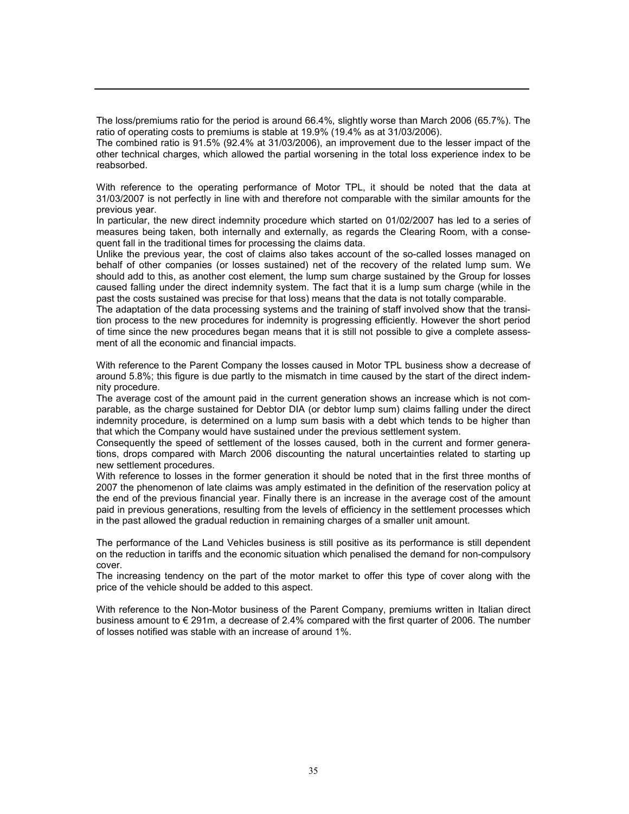The loss/premiums ratio for the period is around 66.4%, slightly worse than March 2006 (65.7%). The ratio of operating costs to premiums is stable at 19.9% (19.4% as at 31/03/2006).

The combined ratio is 91.5% (92.4% at 31/03/2006), an improvement due to the lesser impact of the other technical charges, which allowed the partial worsening in the total loss experience index to be reabsorbed.

With reference to the operating performance of Motor TPL, it should be noted that the data at 31/03/2007 is not perfectly in line with and therefore not comparable with the similar amounts for the previous year.

In particular, the new direct indemnity procedure which started on 01/02/2007 has led to a series of measures being taken, both internally and externally, as regards the Clearing Room, with a consequent fall in the traditional times for processing the claims data.

Unlike the previous year, the cost of claims also takes account of the so-called losses managed on behalf of other companies (or losses sustained) net of the recovery of the related lump sum. We should add to this, as another cost element, the lump sum charge sustained by the Group for losses caused falling under the direct indemnity system. The fact that it is a lump sum charge (while in the past the costs sustained was precise for that loss) means that the data is not totally comparable.

The adaptation of the data processing systems and the training of staff involved show that the transition process to the new procedures for indemnity is progressing efficiently. However the short period of time since the new procedures began means that it is still not possible to give a complete assessment of all the economic and financial impacts.

With reference to the Parent Company the losses caused in Motor TPL business show a decrease of around 5.8%; this figure is due partly to the mismatch in time caused by the start of the direct indemnity procedure.

The average cost of the amount paid in the current generation shows an increase which is not comparable, as the charge sustained for Debtor DIA (or debtor lump sum) claims falling under the direct indemnity procedure, is determined on a lump sum basis with a debt which tends to be higher than that which the Company would have sustained under the previous settlement system.

Consequently the speed of settlement of the losses caused, both in the current and former generations, drops compared with March 2006 discounting the natural uncertainties related to starting up new settlement procedures.

With reference to losses in the former generation it should be noted that in the first three months of 2007 the phenomenon of late claims was amply estimated in the definition of the reservation policy at the end of the previous financial year. Finally there is an increase in the average cost of the amount paid in previous generations, resulting from the levels of efficiency in the settlement processes which in the past allowed the gradual reduction in remaining charges of a smaller unit amount.

The performance of the Land Vehicles business is still positive as its performance is still dependent on the reduction in tariffs and the economic situation which penalised the demand for non-compulsory cover.

The increasing tendency on the part of the motor market to offer this type of cover along with the price of the vehicle should be added to this aspect.

With reference to the Non-Motor business of the Parent Company, premiums written in Italian direct business amount to € 291m, a decrease of 2.4% compared with the first quarter of 2006. The number of losses notified was stable with an increase of around 1%.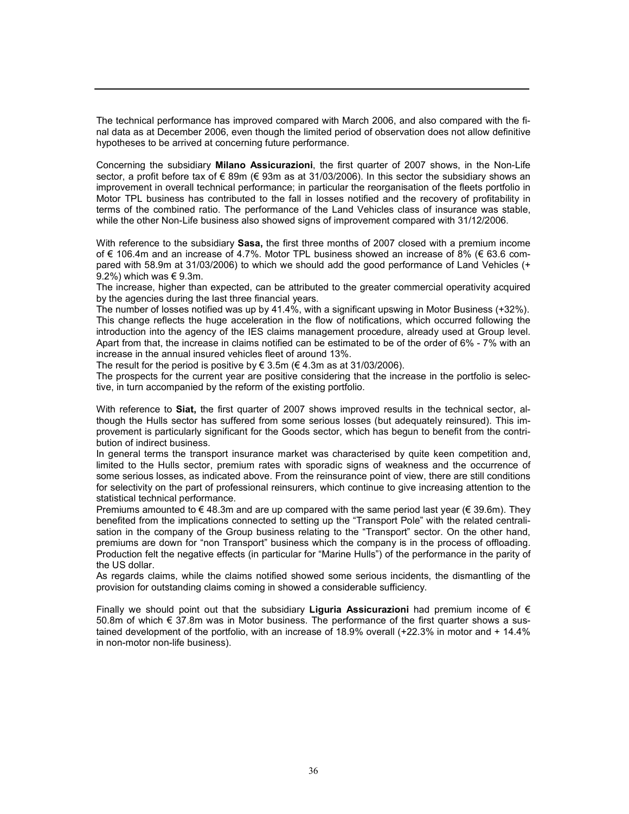The technical performance has improved compared with March 2006, and also compared with the final data as at December 2006, even though the limited period of observation does not allow definitive hypotheses to be arrived at concerning future performance.

Concerning the subsidiary Milano Assicurazioni, the first quarter of 2007 shows, in the Non-Life sector, a profit before tax of € 89m (€ 93m as at 31/03/2006). In this sector the subsidiary shows an improvement in overall technical performance; in particular the reorganisation of the fleets portfolio in Motor TPL business has contributed to the fall in losses notified and the recovery of profitability in terms of the combined ratio. The performance of the Land Vehicles class of insurance was stable, while the other Non-Life business also showed signs of improvement compared with 31/12/2006.

With reference to the subsidiary Sasa, the first three months of 2007 closed with a premium income of € 106.4m and an increase of 4.7%. Motor TPL business showed an increase of 8% (€ 63.6 compared with 58.9m at 31/03/2006) to which we should add the good performance of Land Vehicles (+ 9.2%) which was  $\in$  9.3m.

The increase, higher than expected, can be attributed to the greater commercial operativity acquired by the agencies during the last three financial years.

The number of losses notified was up by 41.4%, with a significant upswing in Motor Business (+32%). This change reflects the huge acceleration in the flow of notifications, which occurred following the introduction into the agency of the IES claims management procedure, already used at Group level. Apart from that, the increase in claims notified can be estimated to be of the order of 6% - 7% with an increase in the annual insured vehicles fleet of around 13%.

The result for the period is positive by  $\epsilon$  3.5m ( $\epsilon$  4.3m as at 31/03/2006).

The prospects for the current year are positive considering that the increase in the portfolio is selective, in turn accompanied by the reform of the existing portfolio.

With reference to **Siat**, the first quarter of 2007 shows improved results in the technical sector, although the Hulls sector has suffered from some serious losses (but adequately reinsured). This improvement is particularly significant for the Goods sector, which has begun to benefit from the contribution of indirect business.

In general terms the transport insurance market was characterised by quite keen competition and, limited to the Hulls sector, premium rates with sporadic signs of weakness and the occurrence of some serious losses, as indicated above. From the reinsurance point of view, there are still conditions for selectivity on the part of professional reinsurers, which continue to give increasing attention to the statistical technical performance.

Premiums amounted to  $\epsilon$  48.3m and are up compared with the same period last year ( $\epsilon$  39.6m). They benefited from the implications connected to setting up the "Transport Pole" with the related centralisation in the company of the Group business relating to the "Transport" sector. On the other hand, premiums are down for "non Transport" business which the company is in the process of offloading. Production felt the negative effects (in particular for "Marine Hulls") of the performance in the parity of the US dollar.

As regards claims, while the claims notified showed some serious incidents, the dismantling of the provision for outstanding claims coming in showed a considerable sufficiency.

Finally we should point out that the subsidiary Liguria Assicurazioni had premium income of  $\epsilon$ 50.8m of which € 37.8m was in Motor business. The performance of the first quarter shows a sustained development of the portfolio, with an increase of 18.9% overall (+22.3% in motor and + 14.4% in non-motor non-life business).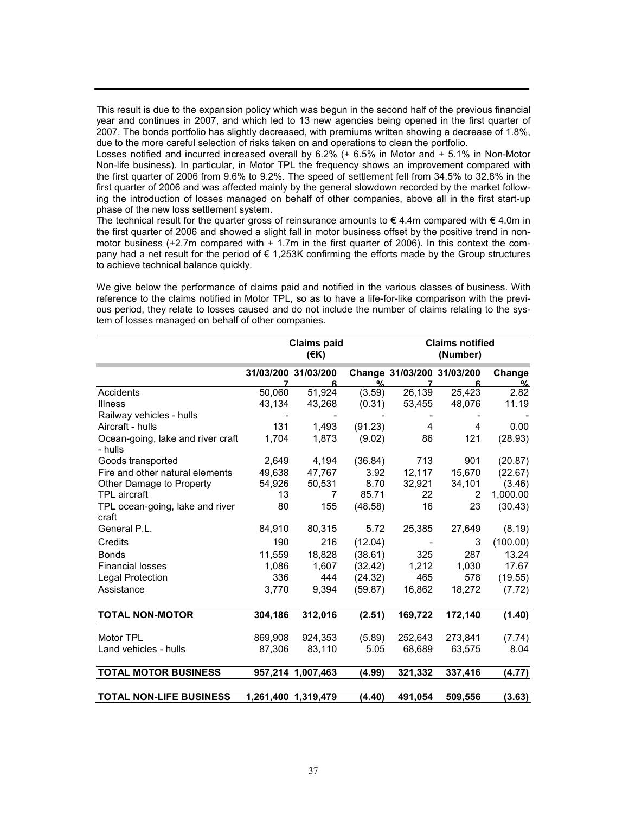This result is due to the expansion policy which was begun in the second half of the previous financial year and continues in 2007, and which led to 13 new agencies being opened in the first quarter of 2007. The bonds portfolio has slightly decreased, with premiums written showing a decrease of 1.8%, due to the more careful selection of risks taken on and operations to clean the portfolio.

Losses notified and incurred increased overall by 6.2% (+ 6.5% in Motor and + 5.1% in Non-Motor Non-life business). In particular, in Motor TPL the frequency shows an improvement compared with the first quarter of 2006 from 9.6% to 9.2%. The speed of settlement fell from 34.5% to 32.8% in the first quarter of 2006 and was affected mainly by the general slowdown recorded by the market following the introduction of losses managed on behalf of other companies, above all in the first start-up phase of the new loss settlement system.

The technical result for the quarter gross of reinsurance amounts to  $\epsilon$  4.4m compared with  $\epsilon$  4.0m in the first quarter of 2006 and showed a slight fall in motor business offset by the positive trend in nonmotor business (+2.7m compared with + 1.7m in the first quarter of 2006). In this context the company had a net result for the period of € 1,253K confirming the efforts made by the Group structures to achieve technical balance quickly.

We give below the performance of claims paid and notified in the various classes of business. With reference to the claims notified in Motor TPL, so as to have a life-for-like comparison with the previous period, they relate to losses caused and do not include the number of claims relating to the system of losses managed on behalf of other companies.

|                                              |         | <b>Claims paid</b><br>$($ <del>€</del> K) |         | <b>Claims notified</b><br>(Number) |         |                    |
|----------------------------------------------|---------|-------------------------------------------|---------|------------------------------------|---------|--------------------|
|                                              |         | 31/03/200 31/03/200<br>6                  | %       | Change 31/03/200 31/03/200         | 6       | Change<br><u>%</u> |
| Accidents                                    | 50,060  | 51,924                                    | (3.59)  | 26,139                             | 25,423  | 2.82               |
| <b>Illness</b>                               | 43,134  | 43,268                                    | (0.31)  | 53,455                             | 48,076  | 11.19              |
| Railway vehicles - hulls                     |         |                                           |         |                                    |         |                    |
| Aircraft - hulls                             | 131     | 1,493                                     | (91.23) | 4                                  | 4       | 0.00               |
| Ocean-going, lake and river craft<br>- hulls | 1,704   | 1,873                                     | (9.02)  | 86                                 | 121     | (28.93)            |
| Goods transported                            | 2,649   | 4,194                                     | (36.84) | 713                                | 901     | (20.87)            |
| Fire and other natural elements              | 49.638  | 47.767                                    | 3.92    | 12,117                             | 15,670  | (22.67)            |
| Other Damage to Property                     | 54,926  | 50,531                                    | 8.70    | 32,921                             | 34,101  | (3.46)             |
| <b>TPL</b> aircraft                          | 13      | 7                                         | 85.71   | 22                                 | 2       | 1,000.00           |
| TPL ocean-going, lake and river<br>craft     | 80      | 155                                       | (48.58) | 16                                 | 23      | (30.43)            |
| General P.L.                                 | 84,910  | 80,315                                    | 5.72    | 25,385                             | 27,649  | (8.19)             |
| Credits                                      | 190     | 216                                       | (12.04) |                                    | 3       | (100.00)           |
| <b>Bonds</b>                                 | 11,559  | 18,828                                    | (38.61) | 325                                | 287     | 13.24              |
| <b>Financial losses</b>                      | 1,086   | 1,607                                     | (32.42) | 1,212                              | 1,030   | 17.67              |
| <b>Legal Protection</b>                      | 336     | 444                                       | (24.32) | 465                                | 578     | (19.55)            |
| Assistance                                   | 3,770   | 9,394                                     | (59.87) | 16,862                             | 18,272  | (7.72)             |
| <b>TOTAL NON-MOTOR</b>                       | 304,186 | 312,016                                   | (2.51)  | 169,722                            | 172,140 | (1.40)             |
| Motor TPL                                    | 869,908 | 924,353                                   | (5.89)  | 252,643                            | 273,841 | (7.74)             |
| Land vehicles - hulls                        | 87,306  | 83,110                                    | 5.05    | 68,689                             | 63,575  | 8.04               |
| <b>TOTAL MOTOR BUSINESS</b>                  |         | 957.214 1.007.463                         | (4.99)  | 321,332                            | 337,416 | (4.77)             |
| <b>TOTAL NON-LIFE BUSINESS</b>               |         | 1,261,400 1,319,479                       | (4.40)  | 491,054                            | 509,556 | (3.63)             |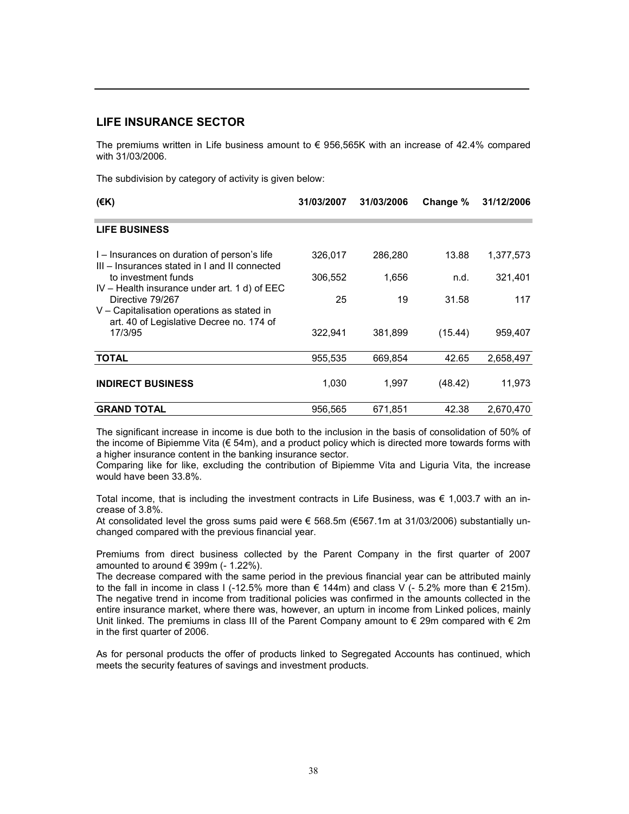### LIFE INSURANCE SECTOR

The premiums written in Life business amount to  $\epsilon$  956,565K with an increase of 42.4% compared with 31/03/2006.

The subdivision by category of activity is given below:

| $($ €K)                                                                                                    | 31/03/2007 | 31/03/2006 | Change % | 31/12/2006 |
|------------------------------------------------------------------------------------------------------------|------------|------------|----------|------------|
| <b>LIFE BUSINESS</b>                                                                                       |            |            |          |            |
| I – Insurances on duration of person's life<br>III – Insurances stated in I and II connected               | 326,017    | 286,280    | 13.88    | 1,377,573  |
| to investment funds<br>$IV$ – Health insurance under art. 1 d) of EEC                                      | 306,552    | 1,656      | n.d.     | 321,401    |
| Directive 79/267<br>V – Capitalisation operations as stated in<br>art. 40 of Legislative Decree no. 174 of | 25         | 19         | 31.58    | 117        |
| 17/3/95                                                                                                    | 322,941    | 381,899    | (15.44)  | 959,407    |
| <b>TOTAL</b>                                                                                               | 955,535    | 669,854    | 42.65    | 2,658,497  |
| <b>INDIRECT BUSINESS</b>                                                                                   | 1,030      | 1,997      | (48.42)  | 11,973     |
| <b>GRAND TOTAL</b>                                                                                         | 956.565    | 671.851    | 42.38    | 2.670.470  |

The significant increase in income is due both to the inclusion in the basis of consolidation of 50% of the income of Bipiemme Vita (€ 54m), and a product policy which is directed more towards forms with a higher insurance content in the banking insurance sector.

Comparing like for like, excluding the contribution of Bipiemme Vita and Liguria Vita, the increase would have been 33.8%.

Total income, that is including the investment contracts in Life Business, was € 1,003.7 with an increase of 3.8%.

At consolidated level the gross sums paid were € 568.5m (€567.1m at 31/03/2006) substantially unchanged compared with the previous financial year.

Premiums from direct business collected by the Parent Company in the first quarter of 2007 amounted to around  $\in$  399m (- 1.22%).

The decrease compared with the same period in the previous financial year can be attributed mainly to the fall in income in class I (-12.5% more than € 144m) and class V (- 5.2% more than € 215m). The negative trend in income from traditional policies was confirmed in the amounts collected in the entire insurance market, where there was, however, an upturn in income from Linked polices, mainly Unit linked. The premiums in class III of the Parent Company amount to  $\epsilon$  29m compared with  $\epsilon$  2m in the first quarter of 2006.

As for personal products the offer of products linked to Segregated Accounts has continued, which meets the security features of savings and investment products.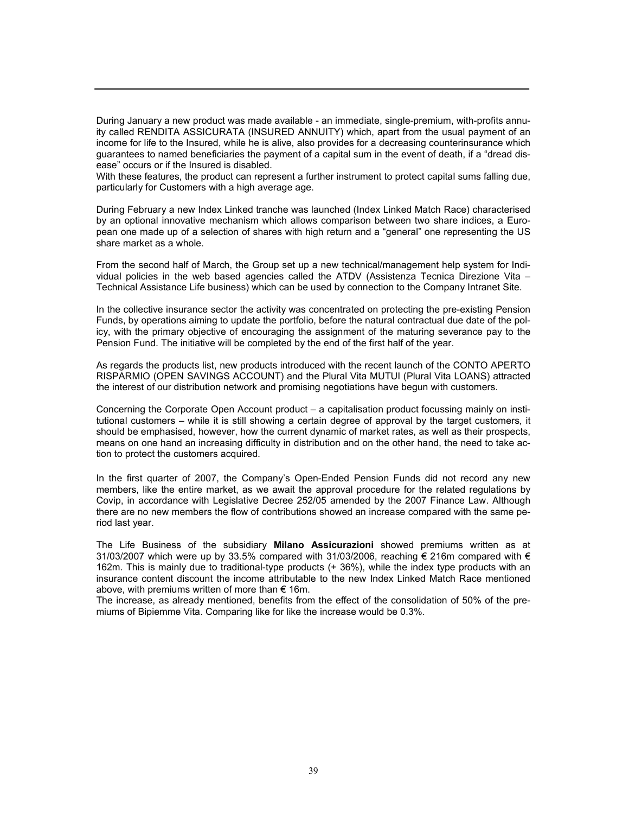During January a new product was made available - an immediate, single-premium, with-profits annuity called RENDITA ASSICURATA (INSURED ANNUITY) which, apart from the usual payment of an income for life to the Insured, while he is alive, also provides for a decreasing counterinsurance which guarantees to named beneficiaries the payment of a capital sum in the event of death, if a "dread disease" occurs or if the Insured is disabled.

With these features, the product can represent a further instrument to protect capital sums falling due, particularly for Customers with a high average age.

During February a new Index Linked tranche was launched (Index Linked Match Race) characterised by an optional innovative mechanism which allows comparison between two share indices, a European one made up of a selection of shares with high return and a "general" one representing the US share market as a whole.

From the second half of March, the Group set up a new technical/management help system for Individual policies in the web based agencies called the ATDV (Assistenza Tecnica Direzione Vita – Technical Assistance Life business) which can be used by connection to the Company Intranet Site.

In the collective insurance sector the activity was concentrated on protecting the pre-existing Pension Funds, by operations aiming to update the portfolio, before the natural contractual due date of the policy, with the primary objective of encouraging the assignment of the maturing severance pay to the Pension Fund. The initiative will be completed by the end of the first half of the year.

As regards the products list, new products introduced with the recent launch of the CONTO APERTO RISPARMIO (OPEN SAVINGS ACCOUNT) and the Plural Vita MUTUI (Plural Vita LOANS) attracted the interest of our distribution network and promising negotiations have begun with customers.

Concerning the Corporate Open Account product – a capitalisation product focussing mainly on institutional customers – while it is still showing a certain degree of approval by the target customers, it should be emphasised, however, how the current dynamic of market rates, as well as their prospects, means on one hand an increasing difficulty in distribution and on the other hand, the need to take action to protect the customers acquired.

In the first quarter of 2007, the Company's Open-Ended Pension Funds did not record any new members, like the entire market, as we await the approval procedure for the related regulations by Covip, in accordance with Legislative Decree 252/05 amended by the 2007 Finance Law. Although there are no new members the flow of contributions showed an increase compared with the same period last year.

The Life Business of the subsidiary Milano Assicurazioni showed premiums written as at 31/03/2007 which were up by 33.5% compared with 31/03/2006, reaching  $\epsilon$  216m compared with  $\epsilon$ 162m. This is mainly due to traditional-type products (+ 36%), while the index type products with an insurance content discount the income attributable to the new Index Linked Match Race mentioned above, with premiums written of more than  $\epsilon$  16m.

The increase, as already mentioned, benefits from the effect of the consolidation of 50% of the premiums of Bipiemme Vita. Comparing like for like the increase would be 0.3%.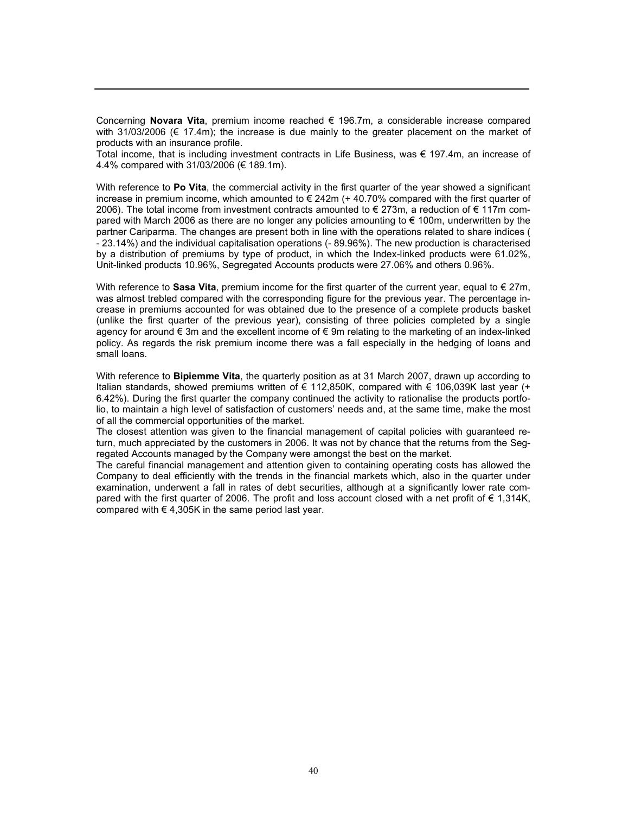Concerning Novara Vita, premium income reached  $\epsilon$  196.7m, a considerable increase compared with 31/03/2006 ( $\in$  17.4m); the increase is due mainly to the greater placement on the market of products with an insurance profile.

Total income, that is including investment contracts in Life Business, was € 197.4m, an increase of 4.4% compared with 31/03/2006 (€ 189.1m).

With reference to Po Vita, the commercial activity in the first quarter of the year showed a significant increase in premium income, which amounted to  $\epsilon$  242m (+ 40.70% compared with the first quarter of 2006). The total income from investment contracts amounted to € 273m, a reduction of € 117m compared with March 2006 as there are no longer any policies amounting to € 100m, underwritten by the partner Cariparma. The changes are present both in line with the operations related to share indices ( - 23.14%) and the individual capitalisation operations (- 89.96%). The new production is characterised by a distribution of premiums by type of product, in which the Index-linked products were 61.02%, Unit-linked products 10.96%, Segregated Accounts products were 27.06% and others 0.96%.

With reference to Sasa Vita, premium income for the first quarter of the current year, equal to  $\epsilon$  27m, was almost trebled compared with the corresponding figure for the previous year. The percentage increase in premiums accounted for was obtained due to the presence of a complete products basket (unlike the first quarter of the previous year), consisting of three policies completed by a single agency for around € 3m and the excellent income of € 9m relating to the marketing of an index-linked policy. As regards the risk premium income there was a fall especially in the hedging of loans and small loans.

With reference to **Bipiemme Vita**, the quarterly position as at 31 March 2007, drawn up according to Italian standards, showed premiums written of € 112,850K, compared with  $€$  106,039K last year (+ 6.42%). During the first quarter the company continued the activity to rationalise the products portfolio, to maintain a high level of satisfaction of customers' needs and, at the same time, make the most of all the commercial opportunities of the market.

The closest attention was given to the financial management of capital policies with guaranteed return, much appreciated by the customers in 2006. It was not by chance that the returns from the Segregated Accounts managed by the Company were amongst the best on the market.

The careful financial management and attention given to containing operating costs has allowed the Company to deal efficiently with the trends in the financial markets which, also in the quarter under examination, underwent a fall in rates of debt securities, although at a significantly lower rate compared with the first quarter of 2006. The profit and loss account closed with a net profit of € 1,314K, compared with  $\epsilon$  4,305K in the same period last year.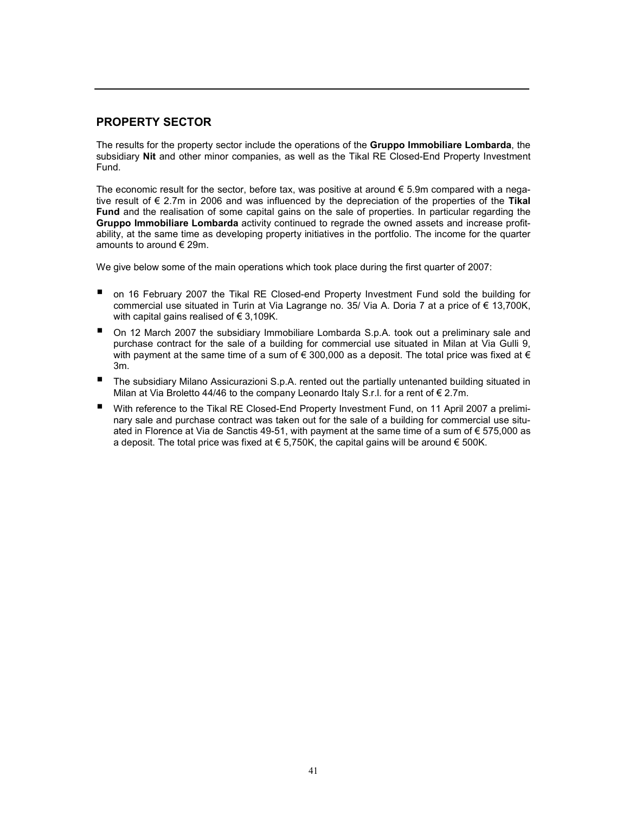# PROPERTY SECTOR

The results for the property sector include the operations of the **Gruppo Immobiliare Lombarda**, the subsidiary Nit and other minor companies, as well as the Tikal RE Closed-End Property Investment Fund.

The economic result for the sector, before tax, was positive at around  $\epsilon$  5.9m compared with a negative result of  $\epsilon$  2.7m in 2006 and was influenced by the depreciation of the properties of the Tikal Fund and the realisation of some capital gains on the sale of properties. In particular regarding the Gruppo Immobiliare Lombarda activity continued to regrade the owned assets and increase profitability, at the same time as developing property initiatives in the portfolio. The income for the quarter amounts to around € 29m.

We give below some of the main operations which took place during the first quarter of 2007:

- on 16 February 2007 the Tikal RE Closed-end Property Investment Fund sold the building for commercial use situated in Turin at Via Lagrange no. 35/ Via A. Doria 7 at a price of € 13,700K, with capital gains realised of  $\epsilon$  3,109K.
- On 12 March 2007 the subsidiary Immobiliare Lombarda S.p.A. took out a preliminary sale and purchase contract for the sale of a building for commercial use situated in Milan at Via Gulli 9, with payment at the same time of a sum of  $\epsilon$  300,000 as a deposit. The total price was fixed at  $\epsilon$ 3m.
- The subsidiary Milano Assicurazioni S.p.A. rented out the partially untenanted building situated in Milan at Via Broletto 44/46 to the company Leonardo Italy S.r.I. for a rent of  $\epsilon$  2.7m.
- With reference to the Tikal RE Closed-End Property Investment Fund, on 11 April 2007 a preliminary sale and purchase contract was taken out for the sale of a building for commercial use situated in Florence at Via de Sanctis 49-51, with payment at the same time of a sum of € 575,000 as a deposit. The total price was fixed at  $\epsilon$  5,750K, the capital gains will be around  $\epsilon$  500K.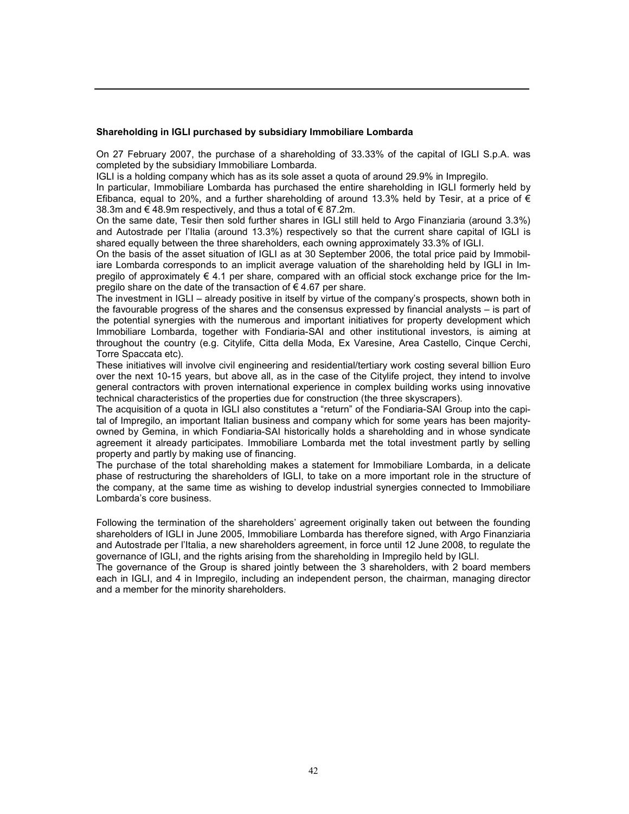#### Shareholding in IGLI purchased by subsidiary Immobiliare Lombarda

On 27 February 2007, the purchase of a shareholding of 33.33% of the capital of IGLI S.p.A. was completed by the subsidiary Immobiliare Lombarda.

IGLI is a holding company which has as its sole asset a quota of around 29.9% in Impregilo.

In particular, Immobiliare Lombarda has purchased the entire shareholding in IGLI formerly held by Efibanca, equal to 20%, and a further shareholding of around 13.3% held by Tesir, at a price of  $\epsilon$ 38.3m and € 48.9m respectively, and thus a total of  $\epsilon$  87.2m.

On the same date, Tesir then sold further shares in IGLI still held to Argo Finanziaria (around 3.3%) and Autostrade per l'Italia (around 13.3%) respectively so that the current share capital of IGLI is shared equally between the three shareholders, each owning approximately 33.3% of IGLI.

On the basis of the asset situation of IGLI as at 30 September 2006, the total price paid by Immobiliare Lombarda corresponds to an implicit average valuation of the shareholding held by IGLI in Impregilo of approximately  $\epsilon$  4.1 per share, compared with an official stock exchange price for the Impregilo share on the date of the transaction of  $\epsilon$  4.67 per share.

The investment in IGLI – already positive in itself by virtue of the company's prospects, shown both in the favourable progress of the shares and the consensus expressed by financial analysts – is part of the potential synergies with the numerous and important initiatives for property development which Immobiliare Lombarda, together with Fondiaria-SAI and other institutional investors, is aiming at throughout the country (e.g. Citylife, Citta della Moda, Ex Varesine, Area Castello, Cinque Cerchi, Torre Spaccata etc).

These initiatives will involve civil engineering and residential/tertiary work costing several billion Euro over the next 10-15 years, but above all, as in the case of the Citylife project, they intend to involve general contractors with proven international experience in complex building works using innovative technical characteristics of the properties due for construction (the three skyscrapers).

The acquisition of a quota in IGLI also constitutes a "return" of the Fondiaria-SAI Group into the capital of Impregilo, an important Italian business and company which for some years has been majorityowned by Gemina, in which Fondiaria-SAI historically holds a shareholding and in whose syndicate agreement it already participates. Immobiliare Lombarda met the total investment partly by selling property and partly by making use of financing.

The purchase of the total shareholding makes a statement for Immobiliare Lombarda, in a delicate phase of restructuring the shareholders of IGLI, to take on a more important role in the structure of the company, at the same time as wishing to develop industrial synergies connected to Immobiliare Lombarda's core business.

Following the termination of the shareholders' agreement originally taken out between the founding shareholders of IGLI in June 2005, Immobiliare Lombarda has therefore signed, with Argo Finanziaria and Autostrade per l'Italia, a new shareholders agreement, in force until 12 June 2008, to regulate the governance of IGLI, and the rights arising from the shareholding in Impregilo held by IGLI.

The governance of the Group is shared jointly between the 3 shareholders, with 2 board members each in IGLI, and 4 in Impregilo, including an independent person, the chairman, managing director and a member for the minority shareholders.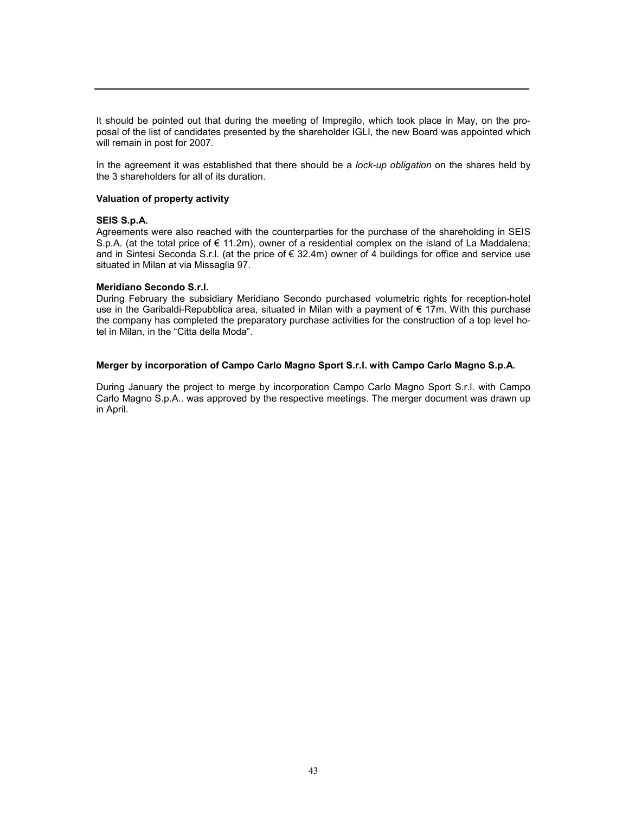It should be pointed out that during the meeting of Impregilo, which took place in May, on the proposal of the list of candidates presented by the shareholder IGLI, the new Board was appointed which will remain in post for 2007.

In the agreement it was established that there should be a *lock-up obligation* on the shares held by the 3 shareholders for all of its duration.

#### Valuation of property activity

#### SEIS S.p.A.

Agreements were also reached with the counterparties for the purchase of the shareholding in SEIS S.p.A. (at the total price of € 11.2m), owner of a residential complex on the island of La Maddalena; and in Sintesi Seconda S.r.l. (at the price of € 32.4m) owner of 4 buildings for office and service use situated in Milan at via Missaglia 97.

#### Meridiano Secondo S.r.l.

During February the subsidiary Meridiano Secondo purchased volumetric rights for reception-hotel use in the Garibaldi-Repubblica area, situated in Milan with a payment of  $\epsilon$  17m. With this purchase the company has completed the preparatory purchase activities for the construction of a top level hotel in Milan, in the "Citta della Moda".

#### Merger by incorporation of Campo Carlo Magno Sport S.r.l. with Campo Carlo Magno S.p.A.

During January the project to merge by incorporation Campo Carlo Magno Sport S.r.l. with Campo Carlo Magno S.p.A.. was approved by the respective meetings. The merger document was drawn up in April.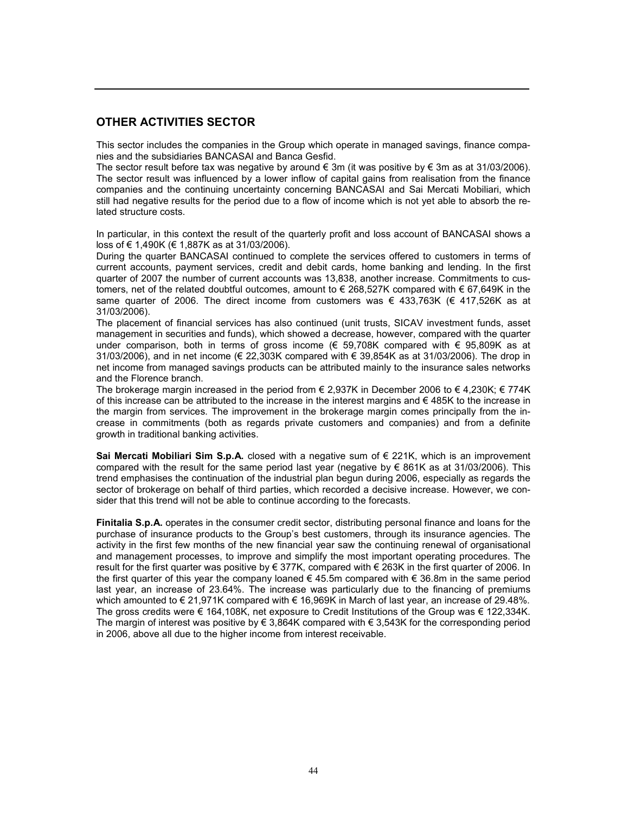# OTHER ACTIVITIES SECTOR

This sector includes the companies in the Group which operate in managed savings, finance companies and the subsidiaries BANCASAI and Banca Gesfid.

The sector result before tax was negative by around  $\epsilon$  3m (it was positive by  $\epsilon$  3m as at 31/03/2006). The sector result was influenced by a lower inflow of capital gains from realisation from the finance companies and the continuing uncertainty concerning BANCASAI and Sai Mercati Mobiliari, which still had negative results for the period due to a flow of income which is not yet able to absorb the related structure costs.

In particular, in this context the result of the quarterly profit and loss account of BANCASAI shows a loss of € 1,490K (€ 1,887K as at 31/03/2006).

During the quarter BANCASAI continued to complete the services offered to customers in terms of current accounts, payment services, credit and debit cards, home banking and lending. In the first quarter of 2007 the number of current accounts was 13,838, another increase. Commitments to customers, net of the related doubtful outcomes, amount to € 268,527K compared with € 67,649K in the same quarter of 2006. The direct income from customers was  $\epsilon$  433,763K ( $\epsilon$  417,526K as at 31/03/2006).

The placement of financial services has also continued (unit trusts, SICAV investment funds, asset management in securities and funds), which showed a decrease, however, compared with the quarter under comparison, both in terms of gross income (€ 59,708K compared with € 95,809K as at 31/03/2006), and in net income (€ 22,303K compared with € 39,854K as at 31/03/2006). The drop in net income from managed savings products can be attributed mainly to the insurance sales networks and the Florence branch.

The brokerage margin increased in the period from  $\epsilon$  2,937K in December 2006 to  $\epsilon$  4,230K;  $\epsilon$  774K of this increase can be attributed to the increase in the interest margins and  $\epsilon$  485K to the increase in the margin from services. The improvement in the brokerage margin comes principally from the increase in commitments (both as regards private customers and companies) and from a definite growth in traditional banking activities.

Sai Mercati Mobiliari Sim S.p.A. closed with a negative sum of  $\epsilon$  221K, which is an improvement compared with the result for the same period last year (negative by  $\epsilon$  861K as at 31/03/2006). This trend emphasises the continuation of the industrial plan begun during 2006, especially as regards the sector of brokerage on behalf of third parties, which recorded a decisive increase. However, we consider that this trend will not be able to continue according to the forecasts.

Finitalia S.p.A. operates in the consumer credit sector, distributing personal finance and loans for the purchase of insurance products to the Group's best customers, through its insurance agencies. The activity in the first few months of the new financial year saw the continuing renewal of organisational and management processes, to improve and simplify the most important operating procedures. The result for the first quarter was positive by € 377K, compared with € 263K in the first quarter of 2006. In the first quarter of this year the company loaned  $\epsilon$  45.5m compared with  $\epsilon$  36.8m in the same period last year, an increase of 23.64%. The increase was particularly due to the financing of premiums which amounted to € 21,971K compared with € 16,969K in March of last year, an increase of 29.48%. The gross credits were € 164,108K, net exposure to Credit Institutions of the Group was € 122,334K. The margin of interest was positive by  $\epsilon$  3,864K compared with  $\epsilon$  3,543K for the corresponding period in 2006, above all due to the higher income from interest receivable.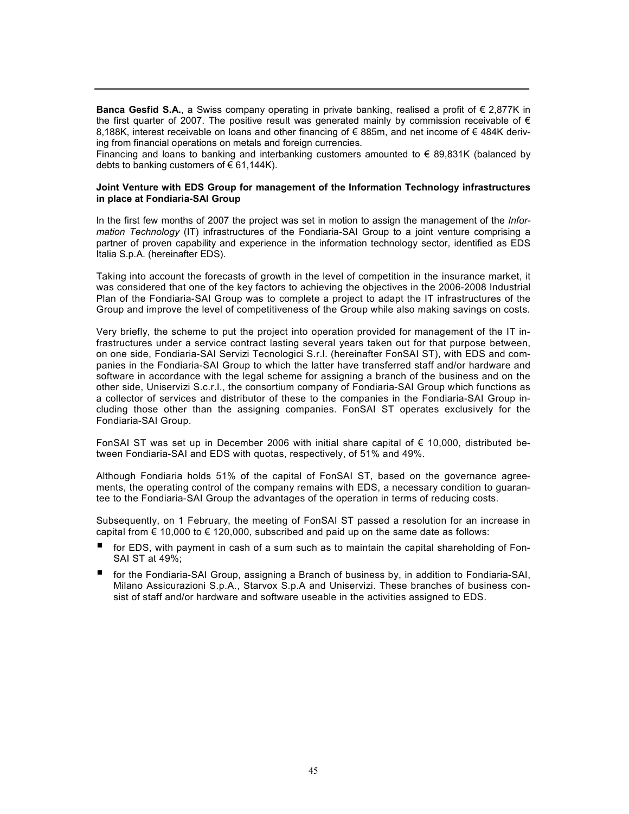Banca Gesfid S.A., a Swiss company operating in private banking, realised a profit of  $\epsilon$  2,877K in the first quarter of 2007. The positive result was generated mainly by commission receivable of  $\epsilon$ 8,188K, interest receivable on loans and other financing of € 885m, and net income of € 484K deriving from financial operations on metals and foreign currencies.

Financing and loans to banking and interbanking customers amounted to  $\epsilon$  89,831K (balanced by debts to banking customers of  $\epsilon$  61,144K).

#### Joint Venture with EDS Group for management of the Information Technology infrastructures in place at Fondiaria-SAI Group

In the first few months of 2007 the project was set in motion to assign the management of the Information Technology (IT) infrastructures of the Fondiaria-SAI Group to a joint venture comprising a partner of proven capability and experience in the information technology sector, identified as EDS Italia S.p.A. (hereinafter EDS).

Taking into account the forecasts of growth in the level of competition in the insurance market, it was considered that one of the key factors to achieving the objectives in the 2006-2008 Industrial Plan of the Fondiaria-SAI Group was to complete a project to adapt the IT infrastructures of the Group and improve the level of competitiveness of the Group while also making savings on costs.

Very briefly, the scheme to put the project into operation provided for management of the IT infrastructures under a service contract lasting several years taken out for that purpose between, on one side, Fondiaria-SAI Servizi Tecnologici S.r.l. (hereinafter FonSAI ST), with EDS and companies in the Fondiaria-SAI Group to which the latter have transferred staff and/or hardware and software in accordance with the legal scheme for assigning a branch of the business and on the other side, Uniservizi S.c.r.l., the consortium company of Fondiaria-SAI Group which functions as a collector of services and distributor of these to the companies in the Fondiaria-SAI Group including those other than the assigning companies. FonSAI ST operates exclusively for the Fondiaria-SAI Group.

FonSAI ST was set up in December 2006 with initial share capital of € 10,000, distributed between Fondiaria-SAI and EDS with quotas, respectively, of 51% and 49%.

Although Fondiaria holds 51% of the capital of FonSAI ST, based on the governance agreements, the operating control of the company remains with EDS, a necessary condition to guarantee to the Fondiaria-SAI Group the advantages of the operation in terms of reducing costs.

Subsequently, on 1 February, the meeting of FonSAI ST passed a resolution for an increase in capital from  $\epsilon$  10,000 to  $\epsilon$  120,000, subscribed and paid up on the same date as follows:

- for EDS, with payment in cash of a sum such as to maintain the capital shareholding of Fon-SAI ST at 49%;
- for the Fondiaria-SAI Group, assigning a Branch of business by, in addition to Fondiaria-SAI, Milano Assicurazioni S.p.A., Starvox S.p.A and Uniservizi. These branches of business consist of staff and/or hardware and software useable in the activities assigned to EDS.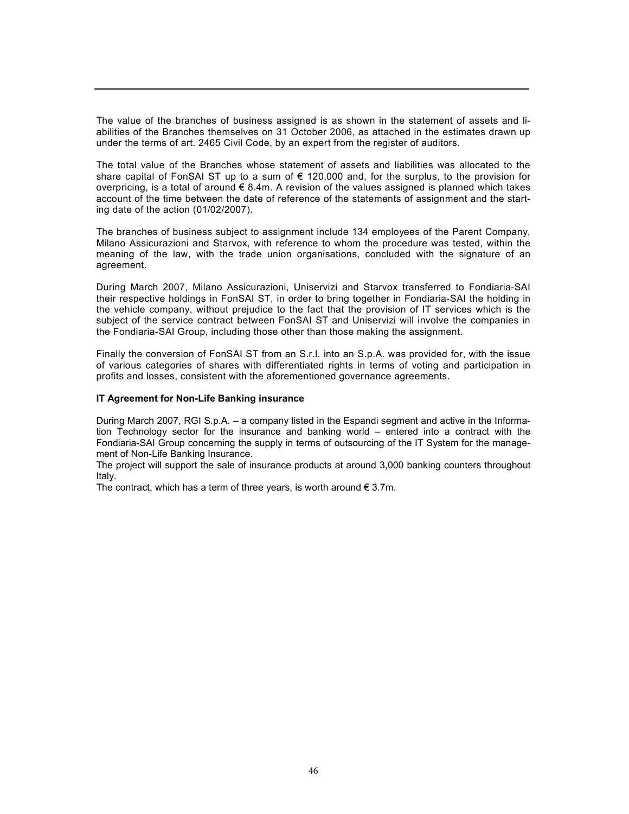The value of the branches of business assigned is as shown in the statement of assets and liabilities of the Branches themselves on 31 October 2006, as attached in the estimates drawn up under the terms of art. 2465 Civil Code, by an expert from the register of auditors.

The total value of the Branches whose statement of assets and liabilities was allocated to the share capital of FonSAI ST up to a sum of  $\epsilon$  120,000 and, for the surplus, to the provision for overpricing, is a total of around  $\epsilon$  8.4m. A revision of the values assigned is planned which takes account of the time between the date of reference of the statements of assignment and the starting date of the action (01/02/2007).

The branches of business subject to assignment include 134 employees of the Parent Company, Milano Assicurazioni and Starvox, with reference to whom the procedure was tested, within the meaning of the law, with the trade union organisations, concluded with the signature of an agreement.

During March 2007, Milano Assicurazioni, Uniservizi and Starvox transferred to Fondiaria-SAI their respective holdings in FonSAI ST, in order to bring together in Fondiaria-SAI the holding in the vehicle company, without prejudice to the fact that the provision of IT services which is the subject of the service contract between FonSAI ST and Uniservizi will involve the companies in the Fondiaria-SAI Group, including those other than those making the assignment.

Finally the conversion of FonSAI ST from an S.r.l. into an S.p.A. was provided for, with the issue of various categories of shares with differentiated rights in terms of voting and participation in profits and losses, consistent with the aforementioned governance agreements.

#### IT Agreement for Non-Life Banking insurance

During March 2007, RGI S.p.A. – a company listed in the Espandi segment and active in the Information Technology sector for the insurance and banking world – entered into a contract with the Fondiaria-SAI Group concerning the supply in terms of outsourcing of the IT System for the management of Non-Life Banking Insurance.

The project will support the sale of insurance products at around 3,000 banking counters throughout Italy.

The contract, which has a term of three years, is worth around  $\epsilon$  3.7m.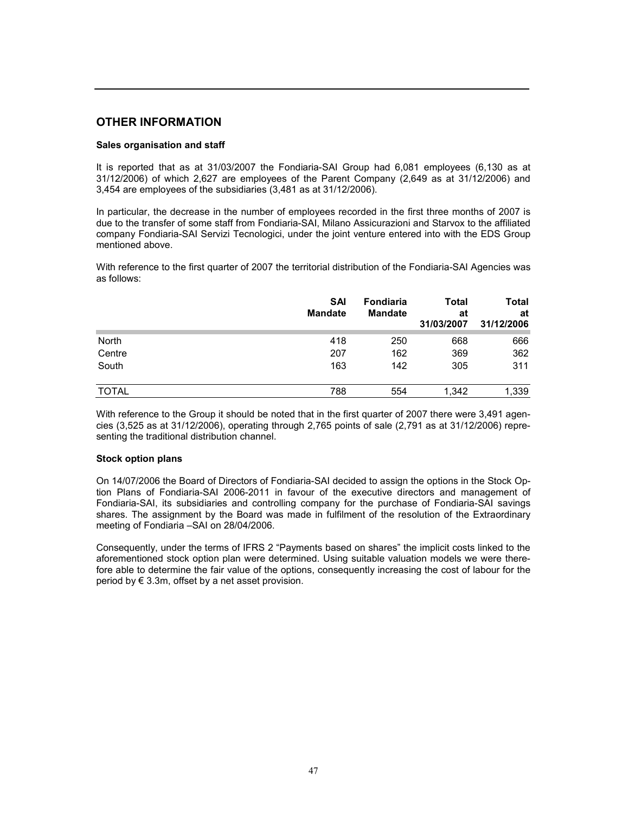### OTHER INFORMATION

#### Sales organisation and staff

It is reported that as at 31/03/2007 the Fondiaria-SAI Group had 6,081 employees (6,130 as at 31/12/2006) of which 2,627 are employees of the Parent Company (2,649 as at 31/12/2006) and 3,454 are employees of the subsidiaries (3,481 as at 31/12/2006).

In particular, the decrease in the number of employees recorded in the first three months of 2007 is due to the transfer of some staff from Fondiaria-SAI, Milano Assicurazioni and Starvox to the affiliated company Fondiaria-SAI Servizi Tecnologici, under the joint venture entered into with the EDS Group mentioned above.

With reference to the first quarter of 2007 the territorial distribution of the Fondiaria-SAI Agencies was as follows:

|              | <b>SAI</b><br><b>Mandate</b> | Fondiaria<br><b>Mandate</b> | Total<br>at<br>31/03/2007 | <b>Total</b><br>at<br>31/12/2006 |
|--------------|------------------------------|-----------------------------|---------------------------|----------------------------------|
| North        | 418                          | 250                         | 668                       | 666                              |
| Centre       | 207                          | 162                         | 369                       | 362                              |
| South        | 163                          | 142                         | 305                       | 311                              |
| <b>TOTAL</b> | 788                          | 554                         | 1,342                     | 1,339                            |

With reference to the Group it should be noted that in the first quarter of 2007 there were 3,491 agencies (3,525 as at 31/12/2006), operating through 2,765 points of sale (2,791 as at 31/12/2006) representing the traditional distribution channel.

#### Stock option plans

On 14/07/2006 the Board of Directors of Fondiaria-SAI decided to assign the options in the Stock Option Plans of Fondiaria-SAI 2006-2011 in favour of the executive directors and management of Fondiaria-SAI, its subsidiaries and controlling company for the purchase of Fondiaria-SAI savings shares. The assignment by the Board was made in fulfilment of the resolution of the Extraordinary meeting of Fondiaria –SAI on 28/04/2006.

Consequently, under the terms of IFRS 2 "Payments based on shares" the implicit costs linked to the aforementioned stock option plan were determined. Using suitable valuation models we were therefore able to determine the fair value of the options, consequently increasing the cost of labour for the period by  $\in$  3.3m, offset by a net asset provision.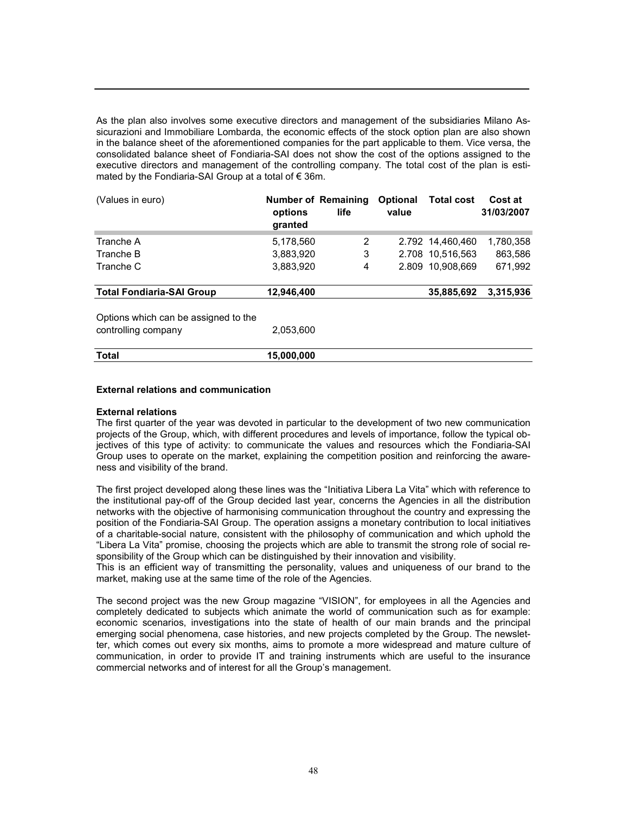As the plan also involves some executive directors and management of the subsidiaries Milano Assicurazioni and Immobiliare Lombarda, the economic effects of the stock option plan are also shown in the balance sheet of the aforementioned companies for the part applicable to them. Vice versa, the consolidated balance sheet of Fondiaria-SAI does not show the cost of the options assigned to the executive directors and management of the controlling company. The total cost of the plan is estimated by the Fondiaria-SAI Group at a total of € 36m.

| (Values in euro)                     | <b>Number of Remaining</b><br>options<br>granted | life | <b>Optional</b><br>value | <b>Total cost</b> | Cost at<br>31/03/2007 |
|--------------------------------------|--------------------------------------------------|------|--------------------------|-------------------|-----------------------|
| Tranche A                            | 5,178,560                                        | 2    |                          | 2.792 14,460,460  | 1,780,358             |
| Tranche B                            | 3,883,920                                        | 3    |                          | 2.708 10,516,563  | 863,586               |
| Tranche C                            | 3,883,920                                        | 4    |                          | 2.809 10.908.669  | 671,992               |
| <b>Total Fondiaria-SAI Group</b>     | 12,946,400                                       |      |                          | 35,885,692        | 3,315,936             |
| Options which can be assigned to the |                                                  |      |                          |                   |                       |
| controlling company                  | 2,053,600                                        |      |                          |                   |                       |
| Total                                | 15,000,000                                       |      |                          |                   |                       |

#### External relations and communication

#### External relations

The first quarter of the year was devoted in particular to the development of two new communication projects of the Group, which, with different procedures and levels of importance, follow the typical objectives of this type of activity: to communicate the values and resources which the Fondiaria-SAI Group uses to operate on the market, explaining the competition position and reinforcing the awareness and visibility of the brand.

The first project developed along these lines was the "Initiativa Libera La Vita" which with reference to the institutional pay-off of the Group decided last year, concerns the Agencies in all the distribution networks with the objective of harmonising communication throughout the country and expressing the position of the Fondiaria-SAI Group. The operation assigns a monetary contribution to local initiatives of a charitable-social nature, consistent with the philosophy of communication and which uphold the "Libera La Vita" promise, choosing the projects which are able to transmit the strong role of social responsibility of the Group which can be distinguished by their innovation and visibility.

This is an efficient way of transmitting the personality, values and uniqueness of our brand to the market, making use at the same time of the role of the Agencies.

The second project was the new Group magazine "VISION", for employees in all the Agencies and completely dedicated to subjects which animate the world of communication such as for example: economic scenarios, investigations into the state of health of our main brands and the principal emerging social phenomena, case histories, and new projects completed by the Group. The newsletter, which comes out every six months, aims to promote a more widespread and mature culture of communication, in order to provide IT and training instruments which are useful to the insurance commercial networks and of interest for all the Group's management.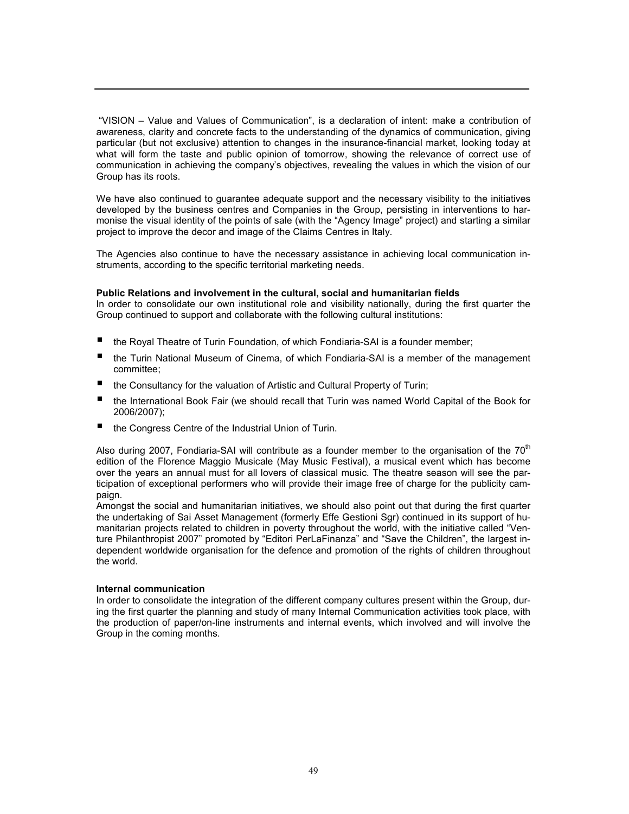"VISION – Value and Values of Communication", is a declaration of intent: make a contribution of awareness, clarity and concrete facts to the understanding of the dynamics of communication, giving particular (but not exclusive) attention to changes in the insurance-financial market, looking today at what will form the taste and public opinion of tomorrow, showing the relevance of correct use of communication in achieving the company's objectives, revealing the values in which the vision of our Group has its roots.

We have also continued to guarantee adequate support and the necessary visibility to the initiatives developed by the business centres and Companies in the Group, persisting in interventions to harmonise the visual identity of the points of sale (with the "Agency Image" project) and starting a similar project to improve the decor and image of the Claims Centres in Italy.

The Agencies also continue to have the necessary assistance in achieving local communication instruments, according to the specific territorial marketing needs.

#### Public Relations and involvement in the cultural, social and humanitarian fields

In order to consolidate our own institutional role and visibility nationally, during the first quarter the Group continued to support and collaborate with the following cultural institutions:

- the Royal Theatre of Turin Foundation, of which Fondiaria-SAI is a founder member;
- the Turin National Museum of Cinema, of which Fondiaria-SAI is a member of the management committee;
- the Consultancy for the valuation of Artistic and Cultural Property of Turin;
- the International Book Fair (we should recall that Turin was named World Capital of the Book for 2006/2007);
- the Congress Centre of the Industrial Union of Turin.

Also during 2007, Fondiaria-SAI will contribute as a founder member to the organisation of the  $70<sup>th</sup>$ edition of the Florence Maggio Musicale (May Music Festival), a musical event which has become over the years an annual must for all lovers of classical music. The theatre season will see the participation of exceptional performers who will provide their image free of charge for the publicity campaign.

Amongst the social and humanitarian initiatives, we should also point out that during the first quarter the undertaking of Sai Asset Management (formerly Effe Gestioni Sgr) continued in its support of humanitarian projects related to children in poverty throughout the world, with the initiative called "Venture Philanthropist 2007" promoted by "Editori PerLaFinanza" and "Save the Children", the largest independent worldwide organisation for the defence and promotion of the rights of children throughout the world.

#### Internal communication

In order to consolidate the integration of the different company cultures present within the Group, during the first quarter the planning and study of many Internal Communication activities took place, with the production of paper/on-line instruments and internal events, which involved and will involve the Group in the coming months.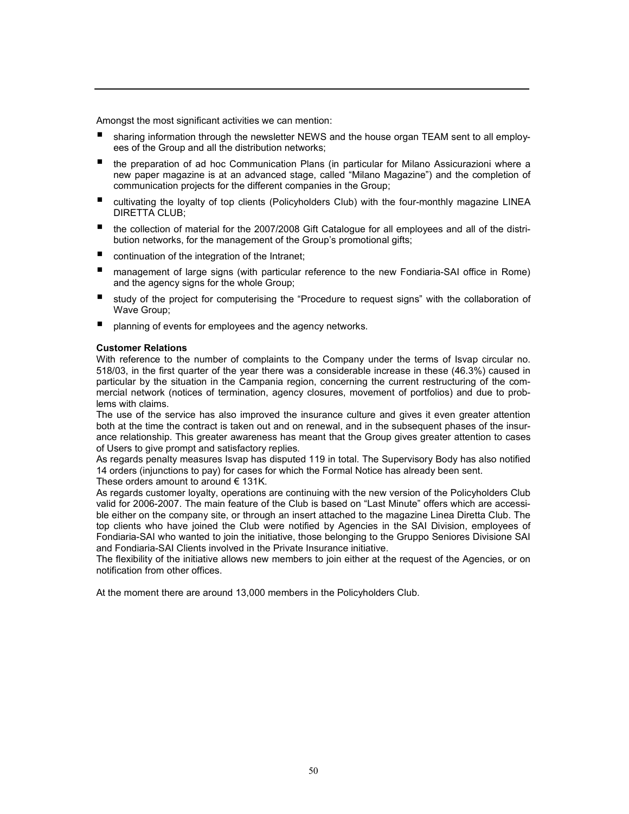Amongst the most significant activities we can mention:

- sharing information through the newsletter NEWS and the house organ TEAM sent to all employees of the Group and all the distribution networks;
- the preparation of ad hoc Communication Plans (in particular for Milano Assicurazioni where a new paper magazine is at an advanced stage, called "Milano Magazine") and the completion of communication projects for the different companies in the Group;
- cultivating the loyalty of top clients (Policyholders Club) with the four-monthly magazine LINEA DIRETTA CLUB;
- the collection of material for the 2007/2008 Gift Catalogue for all employees and all of the distribution networks, for the management of the Group's promotional gifts;
- continuation of the integration of the Intranet;
- management of large signs (with particular reference to the new Fondiaria-SAI office in Rome) and the agency signs for the whole Group;
- study of the project for computerising the "Procedure to request signs" with the collaboration of Wave Group;
- planning of events for employees and the agency networks.

#### Customer Relations

With reference to the number of complaints to the Company under the terms of Isvap circular no. 518/03, in the first quarter of the year there was a considerable increase in these (46.3%) caused in particular by the situation in the Campania region, concerning the current restructuring of the commercial network (notices of termination, agency closures, movement of portfolios) and due to problems with claims.

The use of the service has also improved the insurance culture and gives it even greater attention both at the time the contract is taken out and on renewal, and in the subsequent phases of the insurance relationship. This greater awareness has meant that the Group gives greater attention to cases of Users to give prompt and satisfactory replies.

As regards penalty measures Isvap has disputed 119 in total. The Supervisory Body has also notified 14 orders (injunctions to pay) for cases for which the Formal Notice has already been sent.

These orders amount to around  $\epsilon$  131K.

As regards customer loyalty, operations are continuing with the new version of the Policyholders Club valid for 2006-2007. The main feature of the Club is based on "Last Minute" offers which are accessible either on the company site, or through an insert attached to the magazine Linea Diretta Club. The top clients who have joined the Club were notified by Agencies in the SAI Division, employees of Fondiaria-SAI who wanted to join the initiative, those belonging to the Gruppo Seniores Divisione SAI and Fondiaria-SAI Clients involved in the Private Insurance initiative.

The flexibility of the initiative allows new members to join either at the request of the Agencies, or on notification from other offices.

At the moment there are around 13,000 members in the Policyholders Club.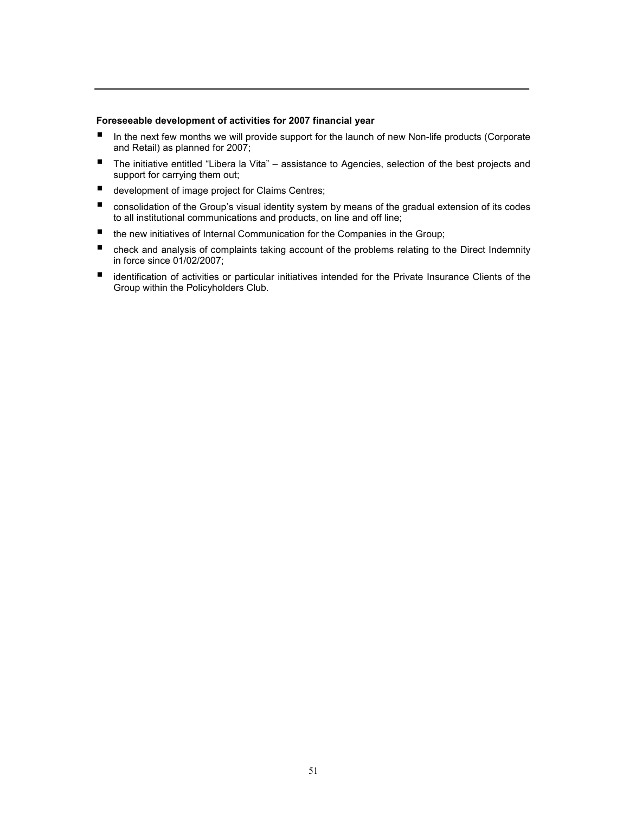#### Foreseeable development of activities for 2007 financial year

- In the next few months we will provide support for the launch of new Non-life products (Corporate and Retail) as planned for 2007;
- The initiative entitled "Libera la Vita" assistance to Agencies, selection of the best projects and support for carrying them out;
- development of image project for Claims Centres;
- consolidation of the Group's visual identity system by means of the gradual extension of its codes to all institutional communications and products, on line and off line;
- the new initiatives of Internal Communication for the Companies in the Group;
- check and analysis of complaints taking account of the problems relating to the Direct Indemnity in force since 01/02/2007;
- identification of activities or particular initiatives intended for the Private Insurance Clients of the Group within the Policyholders Club.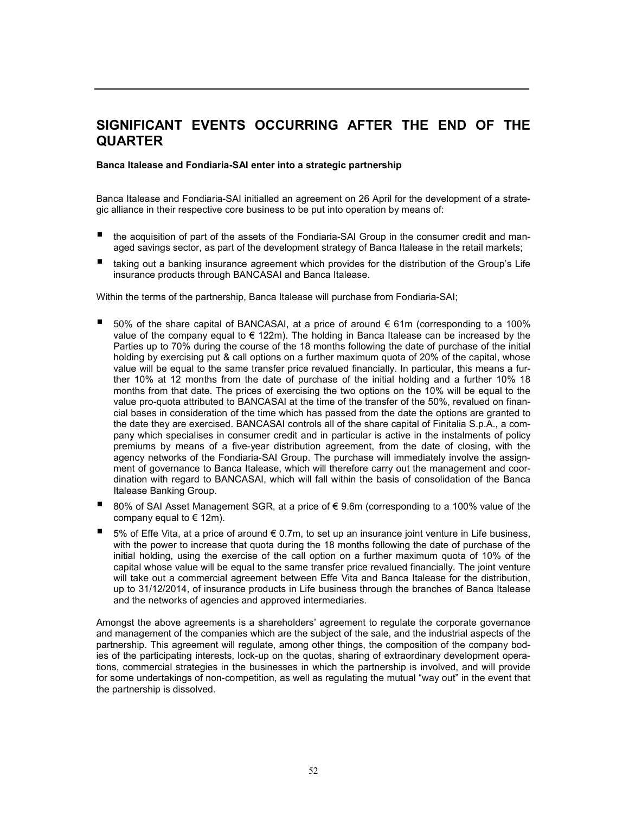# SIGNIFICANT EVENTS OCCURRING AFTER THE END OF THE **QUARTER**

Banca Italease and Fondiaria-SAI enter into a strategic partnership

Banca Italease and Fondiaria-SAI initialled an agreement on 26 April for the development of a strategic alliance in their respective core business to be put into operation by means of:

- the acquisition of part of the assets of the Fondiaria-SAI Group in the consumer credit and managed savings sector, as part of the development strategy of Banca Italease in the retail markets;
- taking out a banking insurance agreement which provides for the distribution of the Group's Life insurance products through BANCASAI and Banca Italease.

Within the terms of the partnership, Banca Italease will purchase from Fondiaria-SAI;

- 50% of the share capital of BANCASAI, at a price of around € 61m (corresponding to a 100% value of the company equal to  $\epsilon$  122m). The holding in Banca Italease can be increased by the Parties up to 70% during the course of the 18 months following the date of purchase of the initial holding by exercising put & call options on a further maximum quota of 20% of the capital, whose value will be equal to the same transfer price revalued financially. In particular, this means a further 10% at 12 months from the date of purchase of the initial holding and a further 10% 18 months from that date. The prices of exercising the two options on the 10% will be equal to the value pro-quota attributed to BANCASAI at the time of the transfer of the 50%, revalued on financial bases in consideration of the time which has passed from the date the options are granted to the date they are exercised. BANCASAI controls all of the share capital of Finitalia S.p.A., a company which specialises in consumer credit and in particular is active in the instalments of policy premiums by means of a five-year distribution agreement, from the date of closing, with the agency networks of the Fondiaria-SAI Group. The purchase will immediately involve the assignment of governance to Banca Italease, which will therefore carry out the management and coordination with regard to BANCASAI, which will fall within the basis of consolidation of the Banca Italease Banking Group.
- 80% of SAI Asset Management SGR, at a price of € 9.6m (corresponding to a 100% value of the company equal to  $\in$  12m).
- 5% of Effe Vita, at a price of around  $\epsilon$  0.7m, to set up an insurance joint venture in Life business, with the power to increase that quota during the 18 months following the date of purchase of the initial holding, using the exercise of the call option on a further maximum quota of 10% of the capital whose value will be equal to the same transfer price revalued financially. The joint venture will take out a commercial agreement between Effe Vita and Banca Italease for the distribution, up to 31/12/2014, of insurance products in Life business through the branches of Banca Italease and the networks of agencies and approved intermediaries.

Amongst the above agreements is a shareholders' agreement to regulate the corporate governance and management of the companies which are the subject of the sale, and the industrial aspects of the partnership. This agreement will regulate, among other things, the composition of the company bodies of the participating interests, lock-up on the quotas, sharing of extraordinary development operations, commercial strategies in the businesses in which the partnership is involved, and will provide for some undertakings of non-competition, as well as regulating the mutual "way out" in the event that the partnership is dissolved.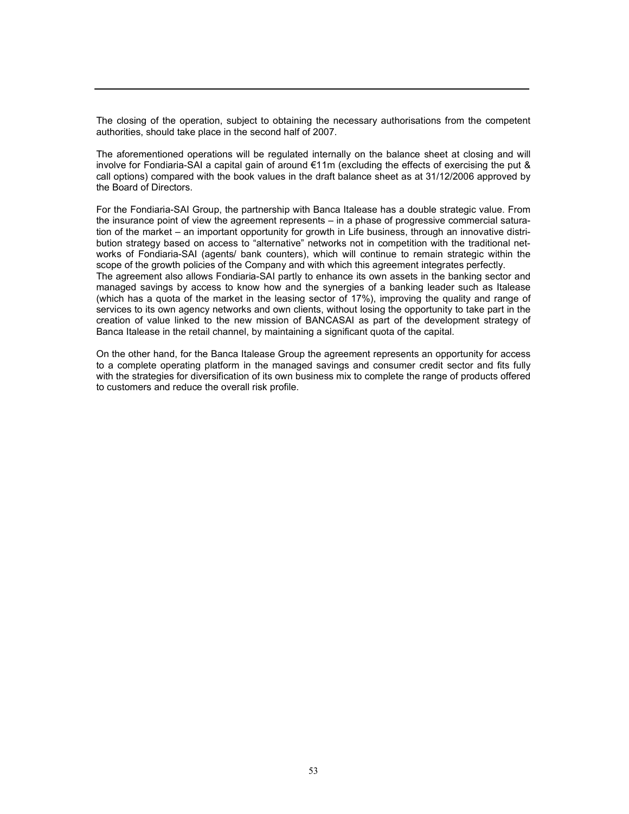The closing of the operation, subject to obtaining the necessary authorisations from the competent authorities, should take place in the second half of 2007.

The aforementioned operations will be regulated internally on the balance sheet at closing and will involve for Fondiaria-SAI a capital gain of around €11m (excluding the effects of exercising the put & call options) compared with the book values in the draft balance sheet as at 31/12/2006 approved by the Board of Directors.

For the Fondiaria-SAI Group, the partnership with Banca Italease has a double strategic value. From the insurance point of view the agreement represents – in a phase of progressive commercial saturation of the market – an important opportunity for growth in Life business, through an innovative distribution strategy based on access to "alternative" networks not in competition with the traditional networks of Fondiaria-SAI (agents/ bank counters), which will continue to remain strategic within the scope of the growth policies of the Company and with which this agreement integrates perfectly. The agreement also allows Fondiaria-SAI partly to enhance its own assets in the banking sector and managed savings by access to know how and the synergies of a banking leader such as Italease (which has a quota of the market in the leasing sector of 17%), improving the quality and range of services to its own agency networks and own clients, without losing the opportunity to take part in the creation of value linked to the new mission of BANCASAI as part of the development strategy of

On the other hand, for the Banca Italease Group the agreement represents an opportunity for access to a complete operating platform in the managed savings and consumer credit sector and fits fully with the strategies for diversification of its own business mix to complete the range of products offered to customers and reduce the overall risk profile.

Banca Italease in the retail channel, by maintaining a significant quota of the capital.